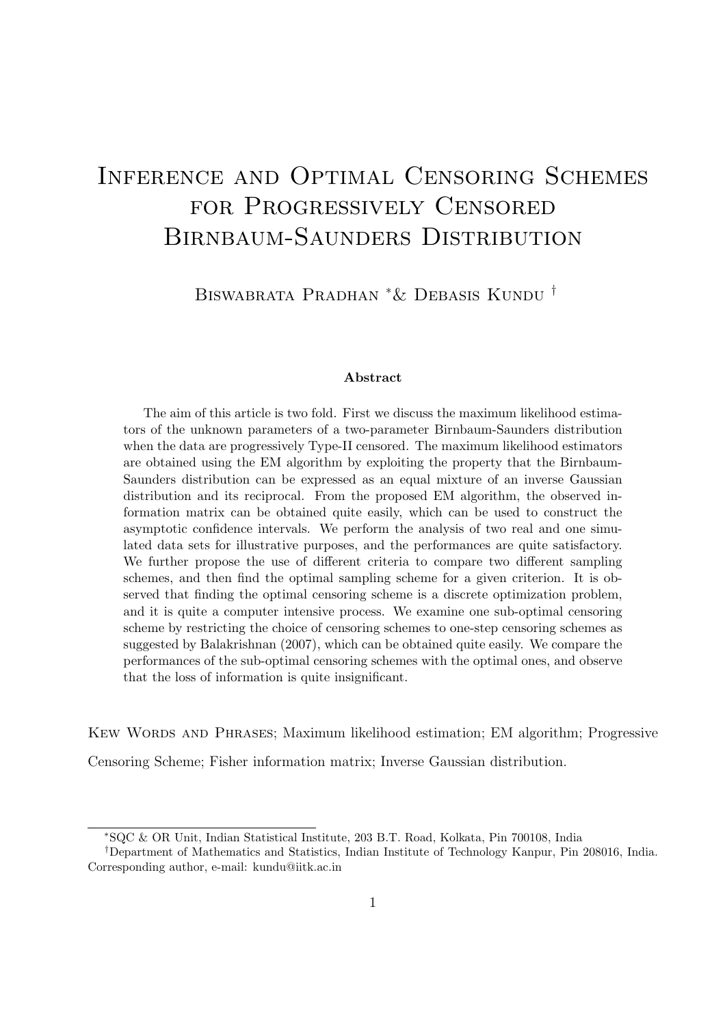# Inference and Optimal Censoring Schemes for Progressively Censored Birnbaum-Saunders Distribution

Biswabrata Pradhan <sup>∗</sup>& Debasis Kundu †

#### Abstract

The aim of this article is two fold. First we discuss the maximum likelihood estimators of the unknown parameters of a two-parameter Birnbaum-Saunders distribution when the data are progressively Type-II censored. The maximum likelihood estimators are obtained using the EM algorithm by exploiting the property that the Birnbaum-Saunders distribution can be expressed as an equal mixture of an inverse Gaussian distribution and its reciprocal. From the proposed EM algorithm, the observed information matrix can be obtained quite easily, which can be used to construct the asymptotic confidence intervals. We perform the analysis of two real and one simulated data sets for illustrative purposes, and the performances are quite satisfactory. We further propose the use of different criteria to compare two different sampling schemes, and then find the optimal sampling scheme for a given criterion. It is observed that finding the optimal censoring scheme is a discrete optimization problem, and it is quite a computer intensive process. We examine one sub-optimal censoring scheme by restricting the choice of censoring schemes to one-step censoring schemes as suggested by Balakrishnan (2007), which can be obtained quite easily. We compare the performances of the sub-optimal censoring schemes with the optimal ones, and observe that the loss of information is quite insignificant.

Kew Words and Phrases; Maximum likelihood estimation; EM algorithm; Progressive

Censoring Scheme; Fisher information matrix; Inverse Gaussian distribution.

<sup>∗</sup>SQC & OR Unit, Indian Statistical Institute, 203 B.T. Road, Kolkata, Pin 700108, India

<sup>†</sup>Department of Mathematics and Statistics, Indian Institute of Technology Kanpur, Pin 208016, India. Corresponding author, e-mail: kundu@iitk.ac.in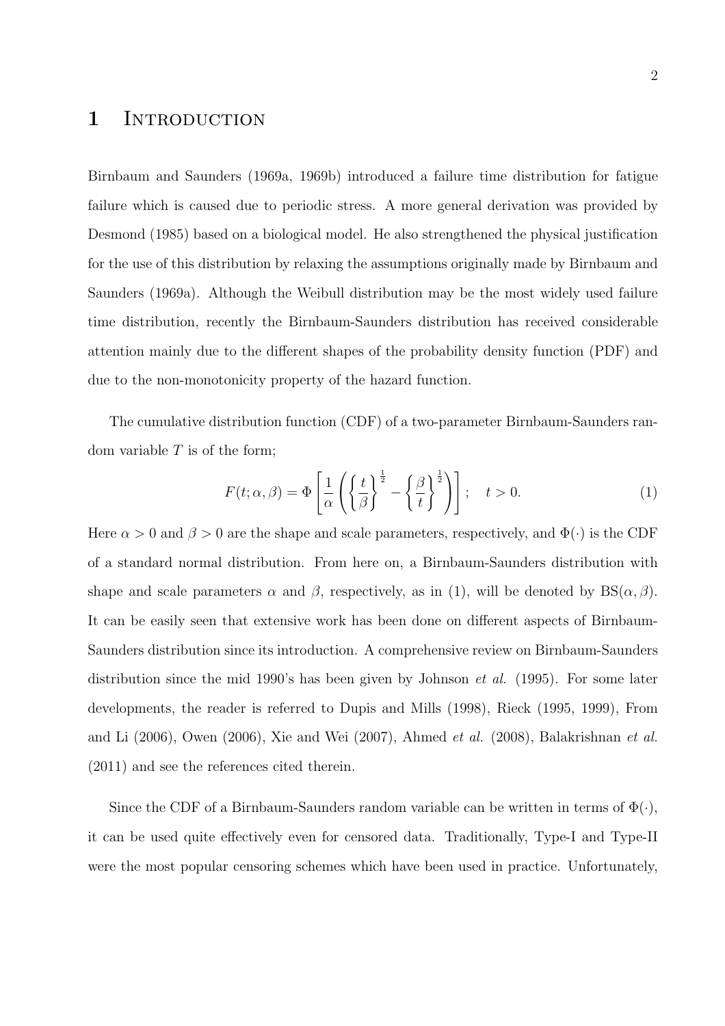# 1 INTRODUCTION

Birnbaum and Saunders (1969a, 1969b) introduced a failure time distribution for fatigue failure which is caused due to periodic stress. A more general derivation was provided by Desmond (1985) based on a biological model. He also strengthened the physical justification for the use of this distribution by relaxing the assumptions originally made by Birnbaum and Saunders (1969a). Although the Weibull distribution may be the most widely used failure time distribution, recently the Birnbaum-Saunders distribution has received considerable attention mainly due to the different shapes of the probability density function (PDF) and due to the non-monotonicity property of the hazard function.

The cumulative distribution function (CDF) of a two-parameter Birnbaum-Saunders random variable  $T$  is of the form;

$$
F(t; \alpha, \beta) = \Phi\left[\frac{1}{\alpha} \left( \left\{ \frac{t}{\beta} \right\}^{\frac{1}{2}} - \left\{ \frac{\beta}{t} \right\}^{\frac{1}{2}} \right) \right]; \quad t > 0.
$$
 (1)

Here  $\alpha > 0$  and  $\beta > 0$  are the shape and scale parameters, respectively, and  $\Phi(\cdot)$  is the CDF of a standard normal distribution. From here on, a Birnbaum-Saunders distribution with shape and scale parameters  $\alpha$  and  $\beta$ , respectively, as in (1), will be denoted by  $BS(\alpha, \beta)$ . It can be easily seen that extensive work has been done on different aspects of Birnbaum-Saunders distribution since its introduction. A comprehensive review on Birnbaum-Saunders distribution since the mid 1990's has been given by Johnson et al. (1995). For some later developments, the reader is referred to Dupis and Mills (1998), Rieck (1995, 1999), From and Li (2006), Owen (2006), Xie and Wei (2007), Ahmed et al. (2008), Balakrishnan et al. (2011) and see the references cited therein.

Since the CDF of a Birnbaum-Saunders random variable can be written in terms of  $\Phi(\cdot)$ , it can be used quite effectively even for censored data. Traditionally, Type-I and Type-II were the most popular censoring schemes which have been used in practice. Unfortunately,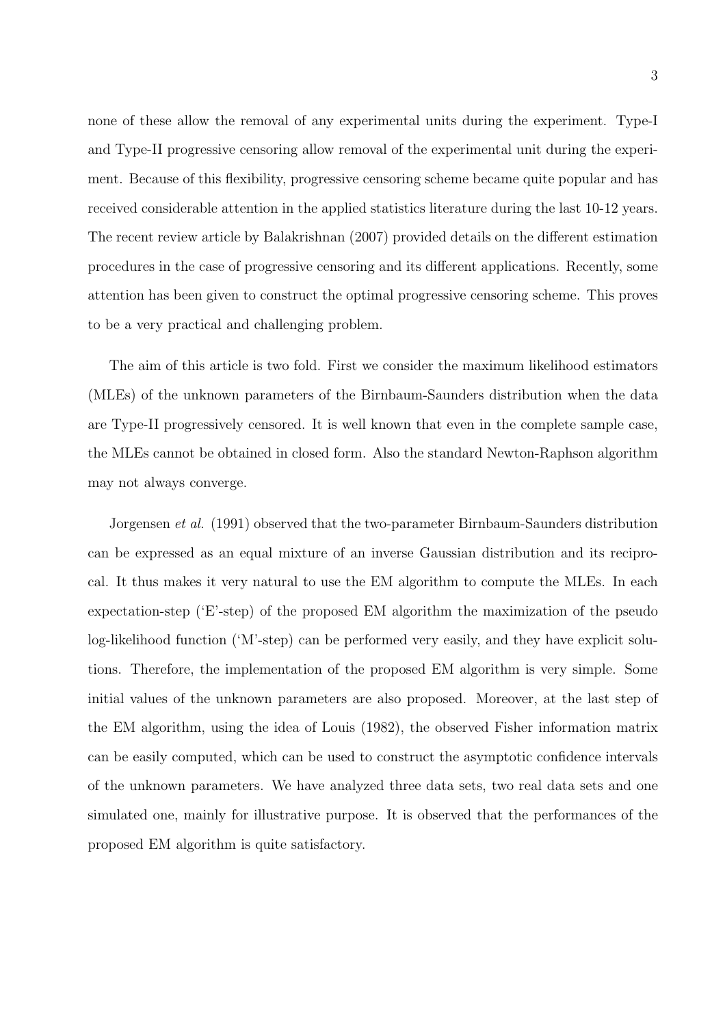none of these allow the removal of any experimental units during the experiment. Type-I and Type-II progressive censoring allow removal of the experimental unit during the experiment. Because of this flexibility, progressive censoring scheme became quite popular and has received considerable attention in the applied statistics literature during the last 10-12 years. The recent review article by Balakrishnan (2007) provided details on the different estimation procedures in the case of progressive censoring and its different applications. Recently, some attention has been given to construct the optimal progressive censoring scheme. This proves to be a very practical and challenging problem.

The aim of this article is two fold. First we consider the maximum likelihood estimators (MLEs) of the unknown parameters of the Birnbaum-Saunders distribution when the data are Type-II progressively censored. It is well known that even in the complete sample case, the MLEs cannot be obtained in closed form. Also the standard Newton-Raphson algorithm may not always converge.

Jorgensen et al. (1991) observed that the two-parameter Birnbaum-Saunders distribution can be expressed as an equal mixture of an inverse Gaussian distribution and its reciprocal. It thus makes it very natural to use the EM algorithm to compute the MLEs. In each expectation-step ('E'-step) of the proposed EM algorithm the maximization of the pseudo log-likelihood function ('M'-step) can be performed very easily, and they have explicit solutions. Therefore, the implementation of the proposed EM algorithm is very simple. Some initial values of the unknown parameters are also proposed. Moreover, at the last step of the EM algorithm, using the idea of Louis (1982), the observed Fisher information matrix can be easily computed, which can be used to construct the asymptotic confidence intervals of the unknown parameters. We have analyzed three data sets, two real data sets and one simulated one, mainly for illustrative purpose. It is observed that the performances of the proposed EM algorithm is quite satisfactory.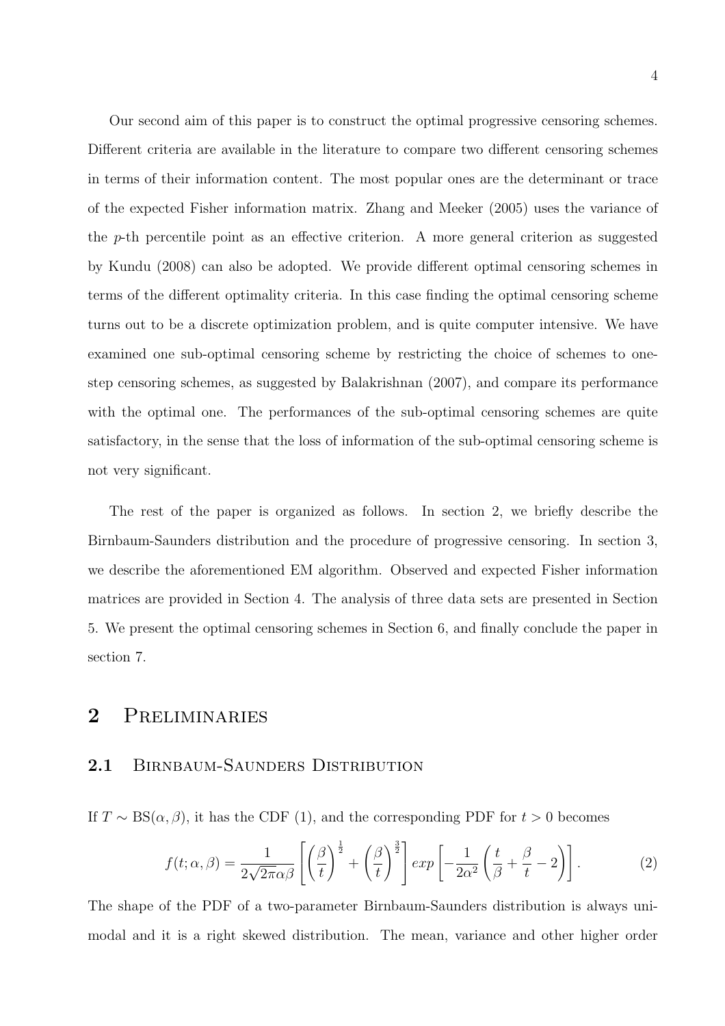Our second aim of this paper is to construct the optimal progressive censoring schemes. Different criteria are available in the literature to compare two different censoring schemes in terms of their information content. The most popular ones are the determinant or trace of the expected Fisher information matrix. Zhang and Meeker (2005) uses the variance of the p-th percentile point as an effective criterion. A more general criterion as suggested by Kundu (2008) can also be adopted. We provide different optimal censoring schemes in terms of the different optimality criteria. In this case finding the optimal censoring scheme turns out to be a discrete optimization problem, and is quite computer intensive. We have examined one sub-optimal censoring scheme by restricting the choice of schemes to onestep censoring schemes, as suggested by Balakrishnan (2007), and compare its performance with the optimal one. The performances of the sub-optimal censoring schemes are quite satisfactory, in the sense that the loss of information of the sub-optimal censoring scheme is not very significant.

The rest of the paper is organized as follows. In section 2, we briefly describe the Birnbaum-Saunders distribution and the procedure of progressive censoring. In section 3, we describe the aforementioned EM algorithm. Observed and expected Fisher information matrices are provided in Section 4. The analysis of three data sets are presented in Section 5. We present the optimal censoring schemes in Section 6, and finally conclude the paper in section 7.

# 2 Preliminaries

### 2.1 BIRNBAUM-SAUNDERS DISTRIBUTION

If  $T \sim BS(\alpha, \beta)$ , it has the CDF (1), and the corresponding PDF for  $t > 0$  becomes

$$
f(t; \alpha, \beta) = \frac{1}{2\sqrt{2\pi}\alpha\beta} \left[ \left(\frac{\beta}{t}\right)^{\frac{1}{2}} + \left(\frac{\beta}{t}\right)^{\frac{3}{2}} \right] exp\left[ -\frac{1}{2\alpha^2} \left(\frac{t}{\beta} + \frac{\beta}{t} - 2\right) \right].
$$
 (2)

The shape of the PDF of a two-parameter Birnbaum-Saunders distribution is always unimodal and it is a right skewed distribution. The mean, variance and other higher order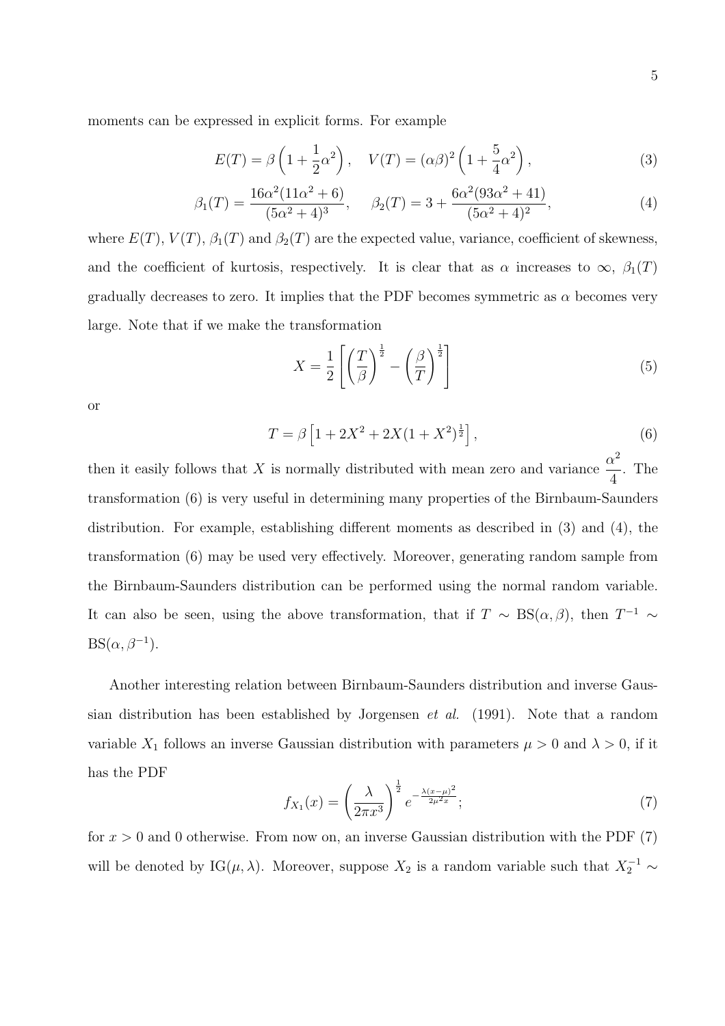$$
E(T) = \beta \left( 1 + \frac{1}{2} \alpha^2 \right), \quad V(T) = (\alpha \beta)^2 \left( 1 + \frac{5}{4} \alpha^2 \right), \tag{3}
$$

$$
\beta_1(T) = \frac{16\alpha^2(11\alpha^2 + 6)}{(5\alpha^2 + 4)^3}, \quad \beta_2(T) = 3 + \frac{6\alpha^2(93\alpha^2 + 41)}{(5\alpha^2 + 4)^2},
$$
\n(4)

where  $E(T)$ ,  $V(T)$ ,  $\beta_1(T)$  and  $\beta_2(T)$  are the expected value, variance, coefficient of skewness, and the coefficient of kurtosis, respectively. It is clear that as  $\alpha$  increases to  $\infty$ ,  $\beta_1(T)$ gradually decreases to zero. It implies that the PDF becomes symmetric as  $\alpha$  becomes very large. Note that if we make the transformation

$$
X = \frac{1}{2} \left[ \left( \frac{T}{\beta} \right)^{\frac{1}{2}} - \left( \frac{\beta}{T} \right)^{\frac{1}{2}} \right]
$$
 (5)

or

$$
T = \beta \left[ 1 + 2X^2 + 2X(1 + X^2)^{\frac{1}{2}} \right],\tag{6}
$$

then it easily follows that X is normally distributed with mean zero and variance  $\frac{\alpha^2}{4}$ 4 . The transformation (6) is very useful in determining many properties of the Birnbaum-Saunders distribution. For example, establishing different moments as described in (3) and (4), the transformation (6) may be used very effectively. Moreover, generating random sample from the Birnbaum-Saunders distribution can be performed using the normal random variable. It can also be seen, using the above transformation, that if  $T \sim BS(\alpha, \beta)$ , then  $T^{-1} \sim$  $BS(\alpha, \beta^{-1}).$ 

Another interesting relation between Birnbaum-Saunders distribution and inverse Gaussian distribution has been established by Jorgensen et al. (1991). Note that a random variable  $X_1$  follows an inverse Gaussian distribution with parameters  $\mu > 0$  and  $\lambda > 0$ , if it has the PDF

$$
f_{X_1}(x) = \left(\frac{\lambda}{2\pi x^3}\right)^{\frac{1}{2}} e^{-\frac{\lambda(x-\mu)^2}{2\mu^2 x}};
$$
\n(7)

for  $x > 0$  and 0 otherwise. From now on, an inverse Gaussian distribution with the PDF  $(7)$ will be denoted by IG( $\mu$ ,  $\lambda$ ). Moreover, suppose  $X_2$  is a random variable such that  $X_2^{-1} \sim$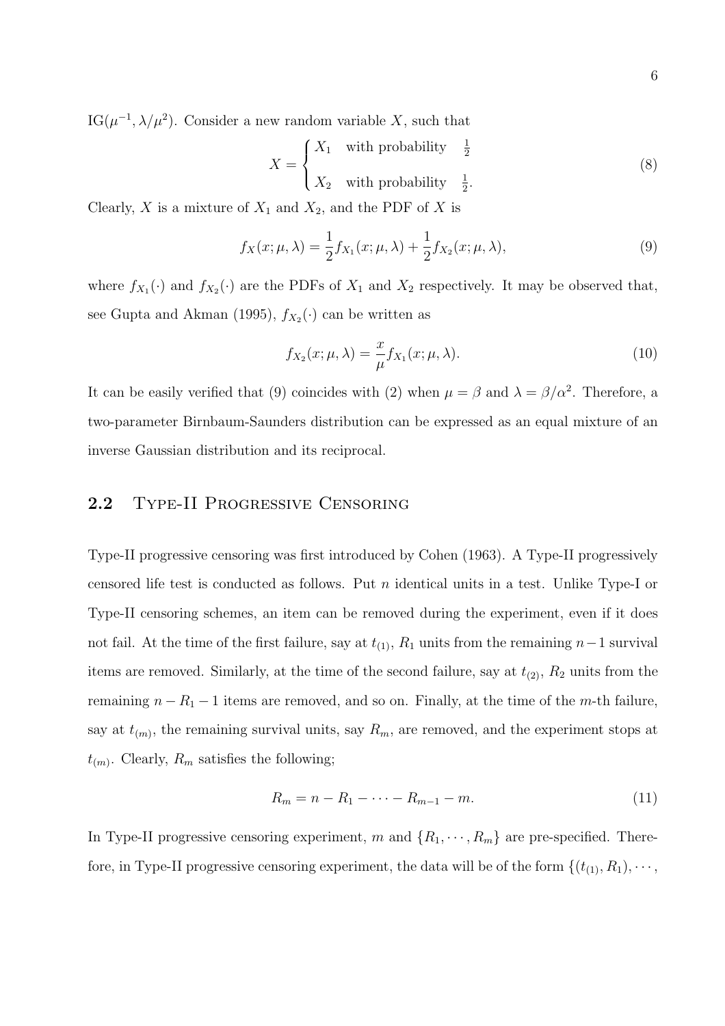$IG(\mu^{-1}, \lambda/\mu^2)$ . Consider a new random variable X, such that

$$
X = \begin{cases} X_1 & \text{with probability} \quad \frac{1}{2} \\ X_2 & \text{with probability} \quad \frac{1}{2}. \end{cases} \tag{8}
$$

Clearly, X is a mixture of  $X_1$  and  $X_2$ , and the PDF of X is

$$
f_X(x; \mu, \lambda) = \frac{1}{2} f_{X_1}(x; \mu, \lambda) + \frac{1}{2} f_{X_2}(x; \mu, \lambda),
$$
\n(9)

where  $f_{X_1}(\cdot)$  and  $f_{X_2}(\cdot)$  are the PDFs of  $X_1$  and  $X_2$  respectively. It may be observed that, see Gupta and Akman (1995),  $f_{X_2}(\cdot)$  can be written as

$$
f_{X_2}(x; \mu, \lambda) = \frac{x}{\mu} f_{X_1}(x; \mu, \lambda).
$$
 (10)

It can be easily verified that (9) coincides with (2) when  $\mu = \beta$  and  $\lambda = \beta/\alpha^2$ . Therefore, a two-parameter Birnbaum-Saunders distribution can be expressed as an equal mixture of an inverse Gaussian distribution and its reciprocal.

#### 2.2 Type-II Progressive Censoring

Type-II progressive censoring was first introduced by Cohen (1963). A Type-II progressively censored life test is conducted as follows. Put n identical units in a test. Unlike Type-I or Type-II censoring schemes, an item can be removed during the experiment, even if it does not fail. At the time of the first failure, say at  $t_{(1)}$ ,  $R_1$  units from the remaining  $n-1$  survival items are removed. Similarly, at the time of the second failure, say at  $t_{(2)}$ ,  $R_2$  units from the remaining  $n - R_1 - 1$  items are removed, and so on. Finally, at the time of the m-th failure, say at  $t_{(m)}$ , the remaining survival units, say  $R_m$ , are removed, and the experiment stops at  $t_{(m)}$ . Clearly,  $R_m$  satisfies the following;

$$
R_m = n - R_1 - \dots - R_{m-1} - m. \tag{11}
$$

In Type-II progressive censoring experiment, m and  $\{R_1, \dots, R_m\}$  are pre-specified. Therefore, in Type-II progressive censoring experiment, the data will be of the form  $\{(t_{(1)}, R_1), \cdots,$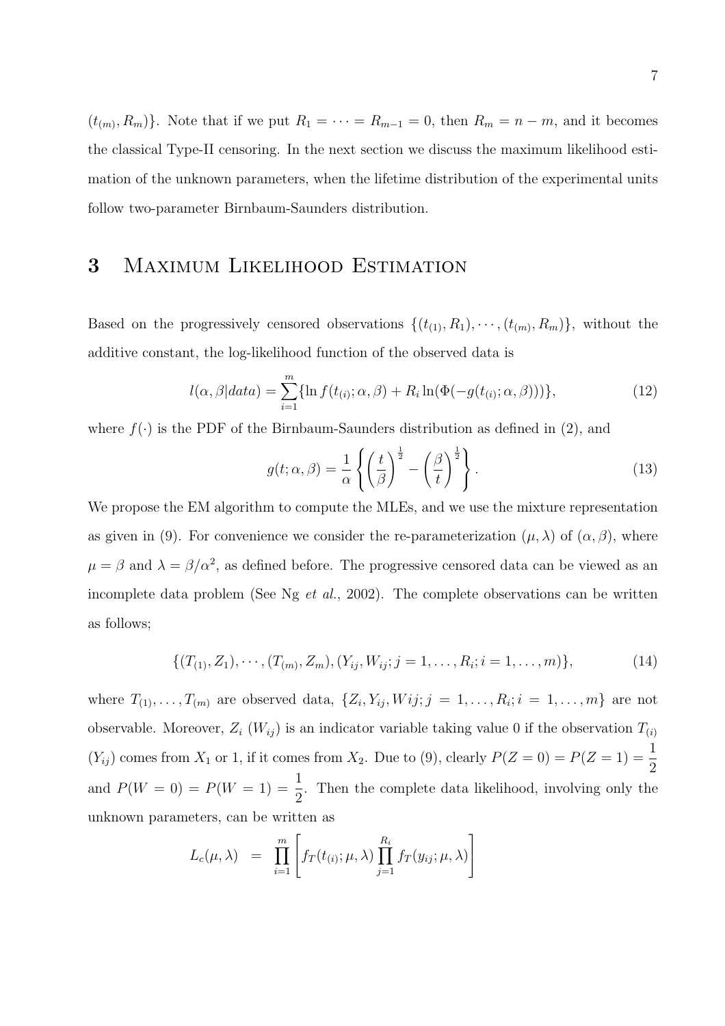$(t_{(m)}, R_m)$ . Note that if we put  $R_1 = \cdots = R_{m-1} = 0$ , then  $R_m = n - m$ , and it becomes the classical Type-II censoring. In the next section we discuss the maximum likelihood estimation of the unknown parameters, when the lifetime distribution of the experimental units follow two-parameter Birnbaum-Saunders distribution.

# 3 Maximum Likelihood Estimation

Based on the progressively censored observations  $\{(t_{(1)}, R_1), \cdots, (t_{(m)}, R_m)\}\$ , without the additive constant, the log-likelihood function of the observed data is

$$
l(\alpha, \beta|data) = \sum_{i=1}^{m} \{ \ln f(t_{(i)}; \alpha, \beta) + R_i \ln(\Phi(-g(t_{(i)}; \alpha, \beta))) \},
$$
\n(12)

where  $f(\cdot)$  is the PDF of the Birnbaum-Saunders distribution as defined in (2), and

$$
g(t; \alpha, \beta) = \frac{1}{\alpha} \left\{ \left( \frac{t}{\beta} \right)^{\frac{1}{2}} - \left( \frac{\beta}{t} \right)^{\frac{1}{2}} \right\}.
$$
 (13)

We propose the EM algorithm to compute the MLEs, and we use the mixture representation as given in (9). For convenience we consider the re-parameterization  $(\mu, \lambda)$  of  $(\alpha, \beta)$ , where  $\mu = \beta$  and  $\lambda = \beta/\alpha^2$ , as defined before. The progressive censored data can be viewed as an incomplete data problem (See Ng et al., 2002). The complete observations can be written as follows;

$$
\{(T_{(1)}, Z_1), \cdots, (T_{(m)}, Z_m), (Y_{ij}, W_{ij}; j = 1, \ldots, R_i; i = 1, \ldots, m)\},\tag{14}
$$

where  $T_{(1)}, \ldots, T_{(m)}$  are observed data,  $\{Z_i, Y_{ij}, Wij; j = 1, \ldots, R_i; i = 1, \ldots, m\}$  are not observable. Moreover,  $Z_i$  ( $W_{ij}$ ) is an indicator variable taking value 0 if the observation  $T_{(i)}$  $(Y_{ij})$  comes from  $X_1$  or 1, if it comes from  $X_2$ . Due to (9), clearly  $P(Z=0) = P(Z=1) = \frac{1}{2}$ and  $P(W = 0) = P(W = 1) = \frac{1}{2}$ 2 . Then the complete data likelihood, involving only the unknown parameters, can be written as

$$
L_c(\mu, \lambda) = \prod_{i=1}^m \left[ f_T(t_{(i)}; \mu, \lambda) \prod_{j=1}^{R_i} f_T(y_{ij}; \mu, \lambda) \right]
$$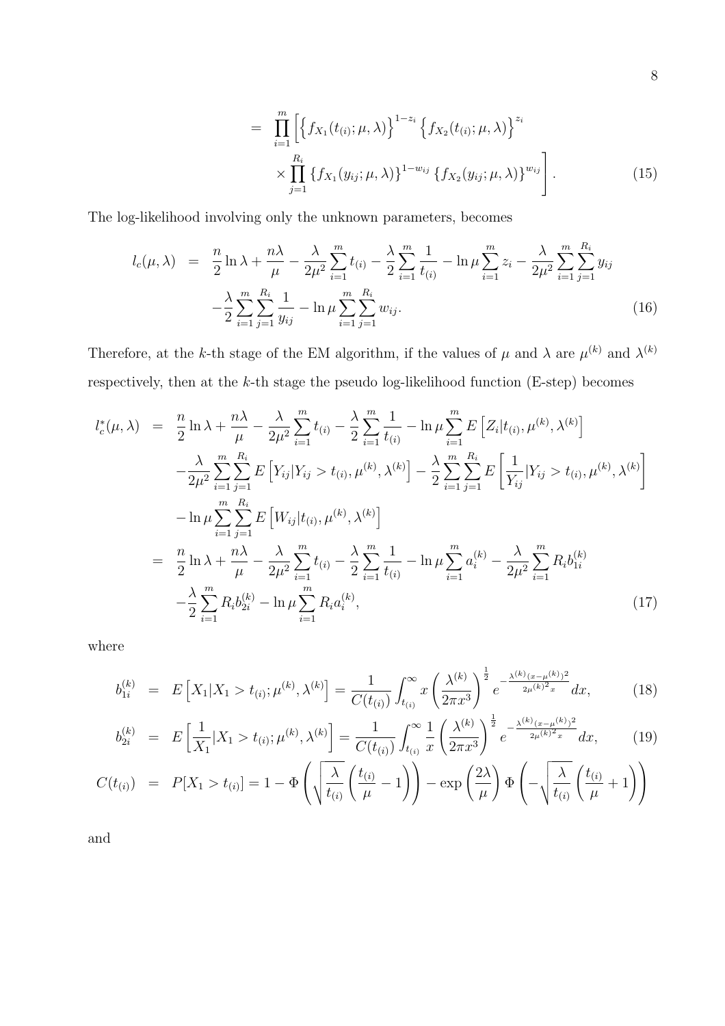$$
= \prod_{i=1}^{m} \left[ \left\{ f_{X_1}(t_{(i)}; \mu, \lambda) \right\}^{1-z_i} \left\{ f_{X_2}(t_{(i)}; \mu, \lambda) \right\}^{z_i} \times \prod_{j=1}^{R_i} \left\{ f_{X_1}(y_{ij}; \mu, \lambda) \right\}^{1-w_{ij}} \left\{ f_{X_2}(y_{ij}; \mu, \lambda) \right\}^{w_{ij}} \right].
$$
 (15)

The log-likelihood involving only the unknown parameters, becomes

$$
l_c(\mu, \lambda) = \frac{n}{2} \ln \lambda + \frac{n\lambda}{\mu} - \frac{\lambda}{2\mu^2} \sum_{i=1}^m t_{(i)} - \frac{\lambda}{2} \sum_{i=1}^m \frac{1}{t_{(i)}} - \ln \mu \sum_{i=1}^m z_i - \frac{\lambda}{2\mu^2} \sum_{i=1}^m \sum_{j=1}^{R_i} y_{ij} - \frac{\lambda}{2} \sum_{i=1}^m \sum_{j=1}^m \frac{1}{y_{ij}} - \ln \mu \sum_{i=1}^m \sum_{j=1}^{R_i} w_{ij}.
$$
\n(16)

Therefore, at the k-th stage of the EM algorithm, if the values of  $\mu$  and  $\lambda$  are  $\mu^{(k)}$  and  $\lambda^{(k)}$ respectively, then at the  $k$ -th stage the pseudo log-likelihood function (E-step) becomes

$$
l_{c}^{*}(\mu,\lambda) = \frac{n}{2}\ln\lambda + \frac{n\lambda}{\mu} - \frac{\lambda}{2\mu^{2}}\sum_{i=1}^{m}t_{(i)} - \frac{\lambda}{2}\sum_{i=1}^{m}\frac{1}{t_{(i)}} - \ln\mu\sum_{i=1}^{m}E\left[Z_{i}|t_{(i)},\mu^{(k)},\lambda^{(k)}\right]
$$

$$
- \frac{\lambda}{2\mu^{2}}\sum_{i=1}^{m}\sum_{j=1}^{R_{i}}E\left[Y_{ij}|Y_{ij} > t_{(i)},\mu^{(k)},\lambda^{(k)}\right] - \frac{\lambda}{2}\sum_{i=1}^{m}\sum_{j=1}^{R_{i}}E\left[\frac{1}{Y_{ij}}|Y_{ij} > t_{(i)},\mu^{(k)},\lambda^{(k)}\right]
$$

$$
- \ln\mu\sum_{i=1}^{m}\sum_{j=1}^{R_{i}}E\left[W_{ij}|t_{(i)},\mu^{(k)},\lambda^{(k)}\right]
$$

$$
= \frac{n}{2}\ln\lambda + \frac{n\lambda}{\mu} - \frac{\lambda}{2\mu^{2}}\sum_{i=1}^{m}t_{(i)} - \frac{\lambda}{2}\sum_{i=1}^{m}\frac{1}{t_{(i)}} - \ln\mu\sum_{i=1}^{m}a_{i}^{(k)} - \frac{\lambda}{2\mu^{2}}\sum_{i=1}^{m}R_{i}b_{1i}^{(k)}
$$

$$
- \frac{\lambda}{2}\sum_{i=1}^{m}R_{i}b_{2i}^{(k)} - \ln\mu\sum_{i=1}^{m}R_{i}a_{i}^{(k)}, \qquad (17)
$$

where

$$
b_{1i}^{(k)} = E\left[X_1|X_1 > t_{(i)}; \mu^{(k)}, \lambda^{(k)}\right] = \frac{1}{C(t_{(i)})} \int_{t_{(i)}}^{\infty} x \left(\frac{\lambda^{(k)}}{2\pi x^3}\right)^{\frac{1}{2}} e^{-\frac{\lambda^{(k)}(x-\mu^{(k)})^2}{2\mu^{(k)}^2 x}} dx, \quad (18)
$$

$$
b_{2i}^{(k)} = E\left[\frac{1}{X_1}|X_1 > t_{(i)}; \mu^{(k)}, \lambda^{(k)}\right] = \frac{1}{C(t_{(i)})} \int_{t_{(i)}}^{\infty} \frac{1}{x} \left(\frac{\lambda^{(k)}}{2\pi x^3}\right)^{\frac{1}{2}} e^{-\frac{\lambda^{(k)}(x-\mu^{(k)})^2}{2\mu^{(k)}x^2}} dx,\tag{19}
$$

$$
C(t_{(i)}) = P[X_1 > t_{(i)}] = 1 - \Phi\left(\sqrt{\frac{\lambda}{t_{(i)}}} \left(\frac{t_{(i)}}{\mu} - 1\right)\right) - \exp\left(\frac{2\lambda}{\mu}\right) \Phi\left(-\sqrt{\frac{\lambda}{t_{(i)}}} \left(\frac{t_{(i)}}{\mu} + 1\right)\right)
$$

and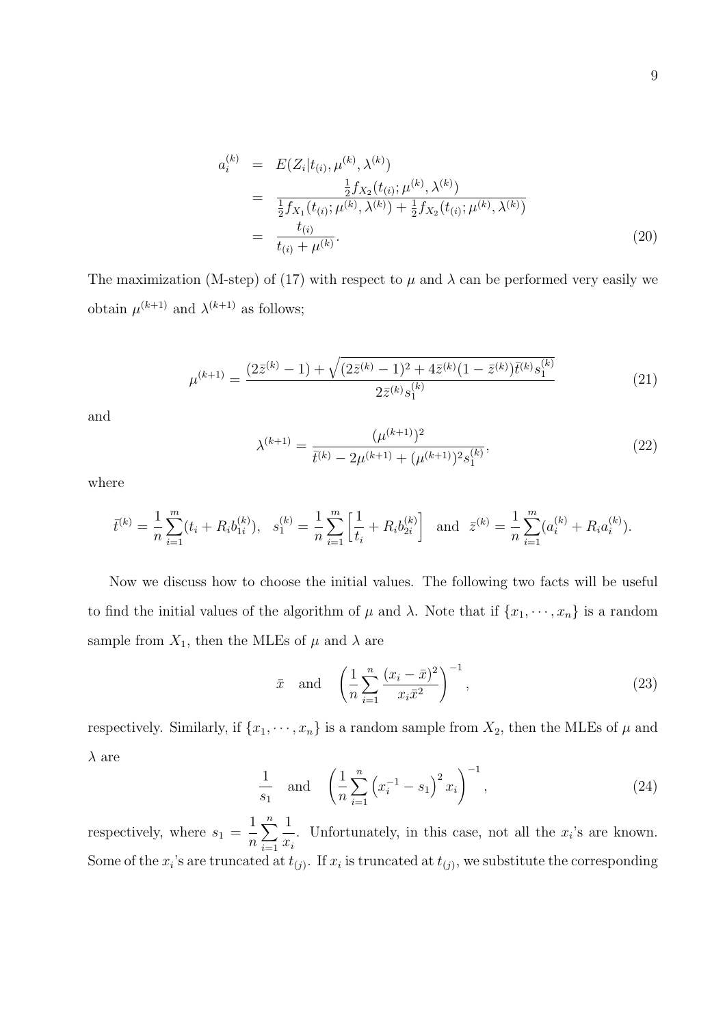$$
a_i^{(k)} = E(Z_i|t_{(i)}, \mu^{(k)}, \lambda^{(k)})
$$
  
\n
$$
= \frac{\frac{1}{2}f_{X_2}(t_{(i)}; \mu^{(k)}, \lambda^{(k)})}{\frac{1}{2}f_{X_1}(t_{(i)}; \mu^{(k)}, \lambda^{(k)}) + \frac{1}{2}f_{X_2}(t_{(i)}; \mu^{(k)}, \lambda^{(k)})}
$$
  
\n
$$
= \frac{t_{(i)}}{t_{(i)} + \mu^{(k)}}.
$$
\n(20)

The maximization (M-step) of (17) with respect to  $\mu$  and  $\lambda$  can be performed very easily we obtain  $\mu^{(k+1)}$  and  $\lambda^{(k+1)}$  as follows;

$$
\mu^{(k+1)} = \frac{(2\bar{z}^{(k)} - 1) + \sqrt{(2\bar{z}^{(k)} - 1)^2 + 4\bar{z}^{(k)}(1 - \bar{z}^{(k)})\bar{t}^{(k)}s_1^{(k)}}}{2\bar{z}^{(k)}s_1^{(k)}}\tag{21}
$$

and

$$
\lambda^{(k+1)} = \frac{(\mu^{(k+1)})^2}{\bar{t}^{(k)} - 2\mu^{(k+1)} + (\mu^{(k+1)})^2 s_1^{(k)}},\tag{22}
$$

where

$$
\bar{t}^{(k)} = \frac{1}{n} \sum_{i=1}^{m} (t_i + R_i b_{1i}^{(k)}), \quad s_1^{(k)} = \frac{1}{n} \sum_{i=1}^{m} \left[ \frac{1}{t_i} + R_i b_{2i}^{(k)} \right] \quad \text{and} \quad \bar{z}^{(k)} = \frac{1}{n} \sum_{i=1}^{m} (a_i^{(k)} + R_i a_i^{(k)}).
$$

Now we discuss how to choose the initial values. The following two facts will be useful to find the initial values of the algorithm of  $\mu$  and  $\lambda$ . Note that if  $\{x_1, \dots, x_n\}$  is a random sample from  $X_1$ , then the MLEs of  $\mu$  and  $\lambda$  are

$$
\bar{x} \quad \text{and} \quad \left(\frac{1}{n}\sum_{i=1}^{n}\frac{(x_i-\bar{x})^2}{x_i\bar{x}^2}\right)^{-1},\tag{23}
$$

respectively. Similarly, if  $\{x_1, \dots, x_n\}$  is a random sample from  $X_2$ , then the MLEs of  $\mu$  and  $\lambda$  are

$$
\frac{1}{s_1} \quad \text{and} \quad \left(\frac{1}{n}\sum_{i=1}^n \left(x_i^{-1} - s_1\right)^2 x_i\right)^{-1},\tag{24}
$$

respectively, where  $s_1 =$ 1 n  $\sum_{n=1}^{\infty}$  $i=1$ 1  $x_i$ . Unfortunately, in this case, not all the  $x_i$ 's are known. Some of the  $x_i$ 's are truncated at  $t_{(j)}$ . If  $x_i$  is truncated at  $t_{(j)}$ , we substitute the corresponding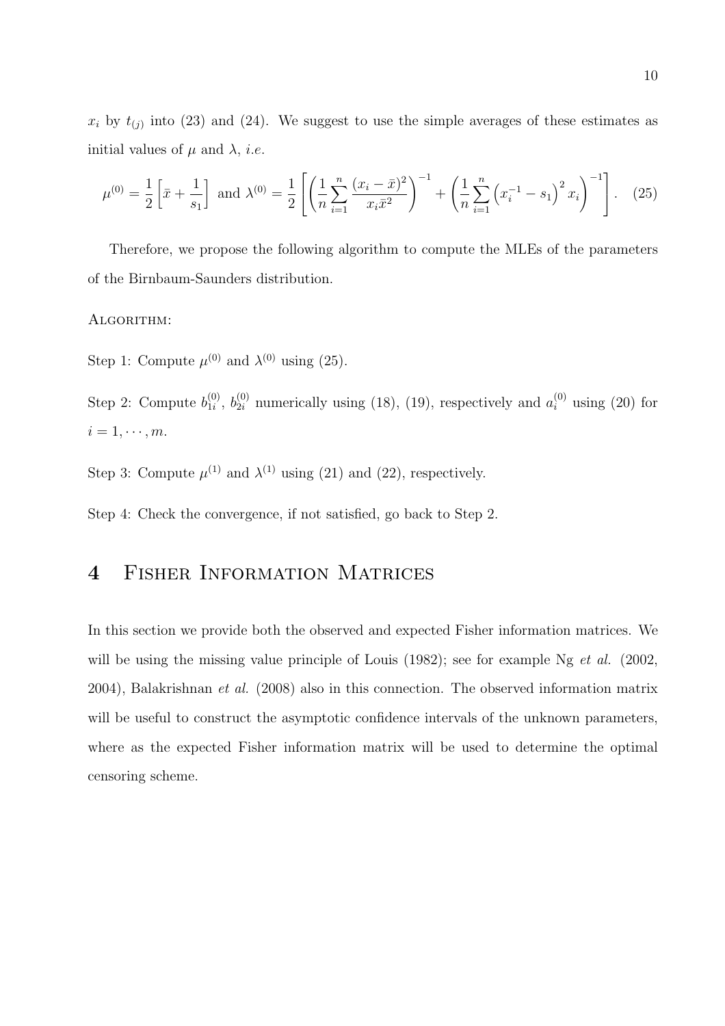$x_i$  by  $t_{(j)}$  into (23) and (24). We suggest to use the simple averages of these estimates as initial values of  $\mu$  and  $\lambda$ , *i.e.* 

$$
\mu^{(0)} = \frac{1}{2} \left[ \bar{x} + \frac{1}{s_1} \right] \text{ and } \lambda^{(0)} = \frac{1}{2} \left[ \left( \frac{1}{n} \sum_{i=1}^n \frac{(x_i - \bar{x})^2}{x_i \bar{x}^2} \right)^{-1} + \left( \frac{1}{n} \sum_{i=1}^n \left( x_i^{-1} - s_1 \right)^2 x_i \right)^{-1} \right]. \tag{25}
$$

Therefore, we propose the following algorithm to compute the MLEs of the parameters of the Birnbaum-Saunders distribution.

#### ALGORITHM:

Step 1: Compute  $\mu^{(0)}$  and  $\lambda^{(0)}$  using (25).

Step 2: Compute  $b_{1i}^{(0)}$  $\binom{0}{1i}$ ,  $b_{2i}^{(0)}$  numerically using (18), (19), respectively and  $a_i^{(0)}$  using (20) for  $i = 1, \cdots, m$ .

Step 3: Compute  $\mu^{(1)}$  and  $\lambda^{(1)}$  using (21) and (22), respectively.

Step 4: Check the convergence, if not satisfied, go back to Step 2.

# 4 Fisher Information Matrices

In this section we provide both the observed and expected Fisher information matrices. We will be using the missing value principle of Louis (1982); see for example Ng *et al.* (2002, 2004), Balakrishnan et al. (2008) also in this connection. The observed information matrix will be useful to construct the asymptotic confidence intervals of the unknown parameters, where as the expected Fisher information matrix will be used to determine the optimal censoring scheme.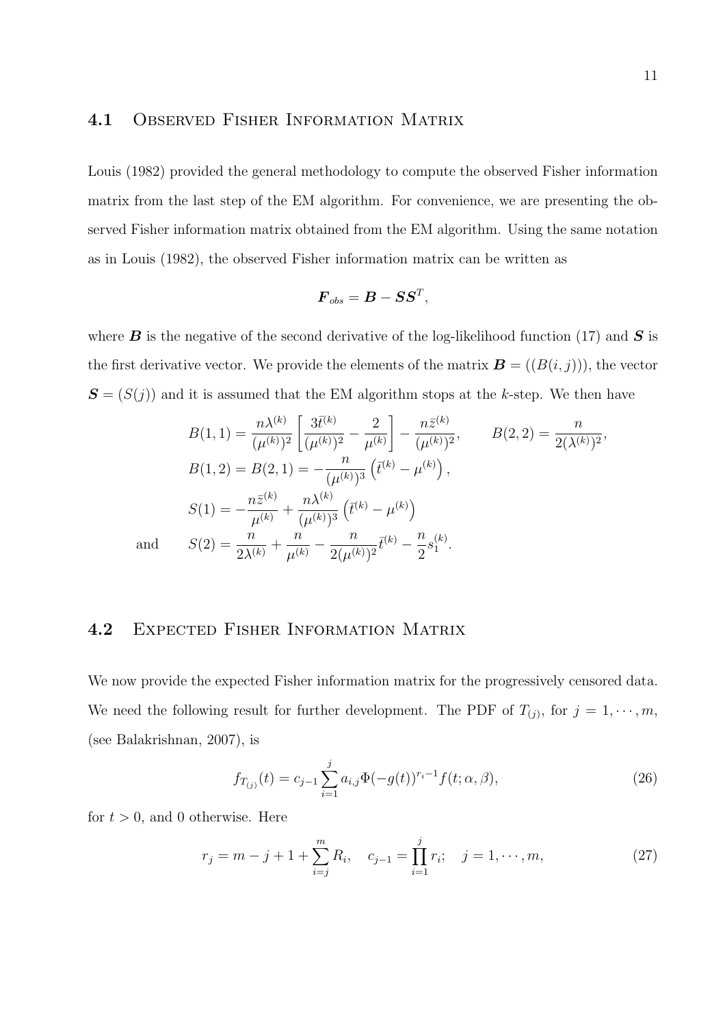#### 4.1 Observed Fisher Information Matrix

Louis (1982) provided the general methodology to compute the observed Fisher information matrix from the last step of the EM algorithm. For convenience, we are presenting the observed Fisher information matrix obtained from the EM algorithm. Using the same notation as in Louis (1982), the observed Fisher information matrix can be written as

$$
\boldsymbol{F}_{obs} = \boldsymbol{B} - \boldsymbol{S}\boldsymbol{S}^T,
$$

where **B** is the negative of the second derivative of the log-likelihood function (17) and **S** is the first derivative vector. We provide the elements of the matrix  $\mathbf{B} = ((B(i, j)))$ , the vector  $S = (S(j))$  and it is assumed that the EM algorithm stops at the k-step. We then have

$$
B(1,1) = \frac{n\lambda^{(k)}}{(\mu^{(k)})^2} \left[ \frac{3\bar{t}^{(k)}}{(\mu^{(k)})^2} - \frac{2}{\mu^{(k)}} \right] - \frac{n\bar{z}^{(k)}}{(\mu^{(k)})^2}, \qquad B(2,2) = \frac{n}{2(\lambda^{(k)})^2},
$$
  
\n
$$
B(1,2) = B(2,1) = -\frac{n}{(\mu^{(k)})^3} \left( \bar{t}^{(k)} - \mu^{(k)} \right),
$$
  
\n
$$
S(1) = -\frac{n\bar{z}^{(k)}}{\mu^{(k)}} + \frac{n\lambda^{(k)}}{(\mu^{(k)})^3} \left( \bar{t}^{(k)} - \mu^{(k)} \right)
$$
  
\nand 
$$
S(2) = \frac{n}{2\lambda^{(k)}} + \frac{n}{\mu^{(k)}} - \frac{n}{2(\mu^{(k)})^2} \bar{t}^{(k)} - \frac{n}{2}s_1^{(k)}.
$$

#### 4.2 Expected Fisher Information Matrix

We now provide the expected Fisher information matrix for the progressively censored data. We need the following result for further development. The PDF of  $T_{(j)}$ , for  $j = 1, \dots, m$ , (see Balakrishnan, 2007), is

$$
f_{T_{(j)}}(t) = c_{j-1} \sum_{i=1}^{j} a_{i,j} \Phi(-g(t))^{r_i - 1} f(t; \alpha, \beta), \qquad (26)
$$

for  $t > 0$ , and 0 otherwise. Here

$$
r_j = m - j + 1 + \sum_{i=j}^{m} R_i, \quad c_{j-1} = \prod_{i=1}^{j} r_i; \quad j = 1, \cdots, m,
$$
 (27)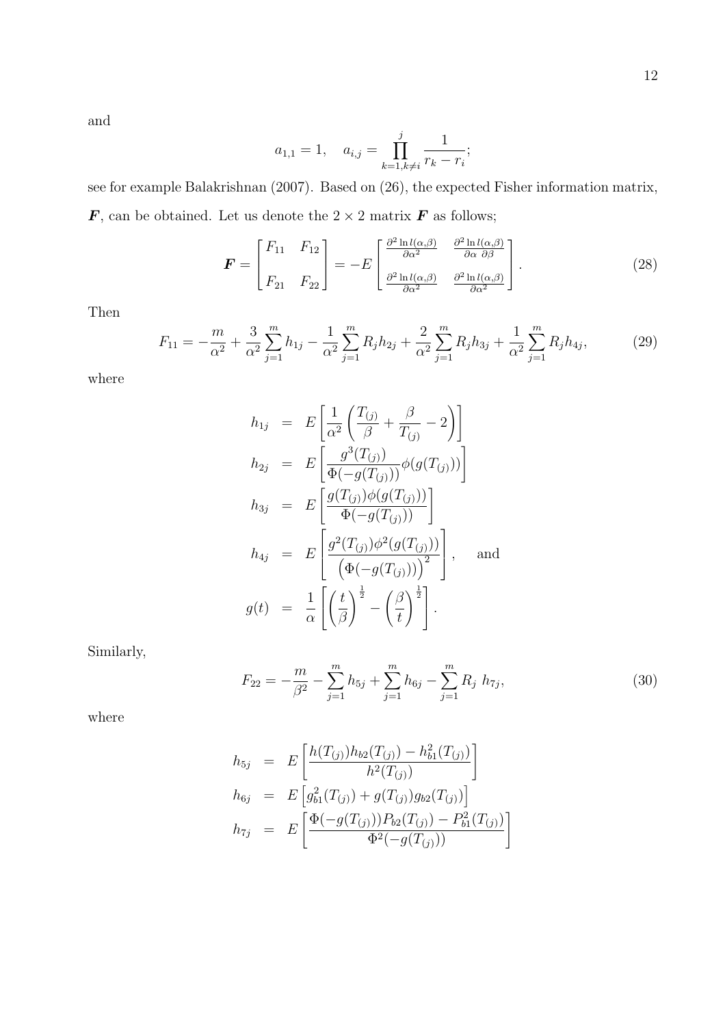and

$$
a_{1,1} = 1
$$
,  $a_{i,j} = \prod_{k=1, k \neq i}^{j} \frac{1}{r_k - r_i}$ ;

see for example Balakrishnan (2007). Based on (26), the expected Fisher information matrix,  $\boldsymbol{F},$  can be obtained. Let us denote the  $2\times 2$  matrix  $\boldsymbol{F}$  as follows;

$$
\boldsymbol{F} = \begin{bmatrix} F_{11} & F_{12} \\ F_{21} & F_{22} \end{bmatrix} = -E \begin{bmatrix} \frac{\partial^2 \ln l(\alpha, \beta)}{\partial \alpha^2} & \frac{\partial^2 \ln l(\alpha, \beta)}{\partial \alpha \partial \beta} \\ \frac{\partial^2 \ln l(\alpha, \beta)}{\partial \alpha^2} & \frac{\partial^2 \ln l(\alpha, \beta)}{\partial \alpha^2} \end{bmatrix} . \tag{28}
$$

Then

$$
F_{11} = -\frac{m}{\alpha^2} + \frac{3}{\alpha^2} \sum_{j=1}^m h_{1j} - \frac{1}{\alpha^2} \sum_{j=1}^m R_j h_{2j} + \frac{2}{\alpha^2} \sum_{j=1}^m R_j h_{3j} + \frac{1}{\alpha^2} \sum_{j=1}^m R_j h_{4j},\tag{29}
$$

where

$$
h_{1j} = E\left[\frac{1}{\alpha^2} \left(\frac{T_{(j)}}{\beta} + \frac{\beta}{T_{(j)}} - 2\right)\right]
$$
  
\n
$$
h_{2j} = E\left[\frac{g^3(T_{(j)})}{\Phi(-g(T_{(j)}))}\phi(g(T_{(j)}))\right]
$$
  
\n
$$
h_{3j} = E\left[\frac{g(T_{(j)})\phi(g(T_{(j)}))}{\Phi(-g(T_{(j)}))}\right]
$$
  
\n
$$
h_{4j} = E\left[\frac{g^2(T_{(j)})\phi^2(g(T_{(j)}))}{\left(\Phi(-g(T_{(j)}))\right)^2}\right], \text{ and}
$$
  
\n
$$
g(t) = \frac{1}{\alpha}\left[\left(\frac{t}{\beta}\right)^{\frac{1}{2}} - \left(\frac{\beta}{t}\right)^{\frac{1}{2}}\right].
$$

Similarly,

$$
F_{22} = -\frac{m}{\beta^2} - \sum_{j=1}^{m} h_{5j} + \sum_{j=1}^{m} h_{6j} - \sum_{j=1}^{m} R_j h_{7j}, \qquad (30)
$$

where

$$
h_{5j} = E\left[\frac{h(T_{(j)})h_{b2}(T_{(j)}) - h_{b1}^2(T_{(j)})}{h^2(T_{(j)})}\right]
$$
  
\n
$$
h_{6j} = E\left[g_{b1}^2(T_{(j)}) + g(T_{(j)})g_{b2}(T_{(j)})\right]
$$
  
\n
$$
h_{7j} = E\left[\frac{\Phi(-g(T_{(j)}))P_{b2}(T_{(j)}) - P_{b1}^2(T_{(j)})}{\Phi^2(-g(T_{(j)}))}\right]
$$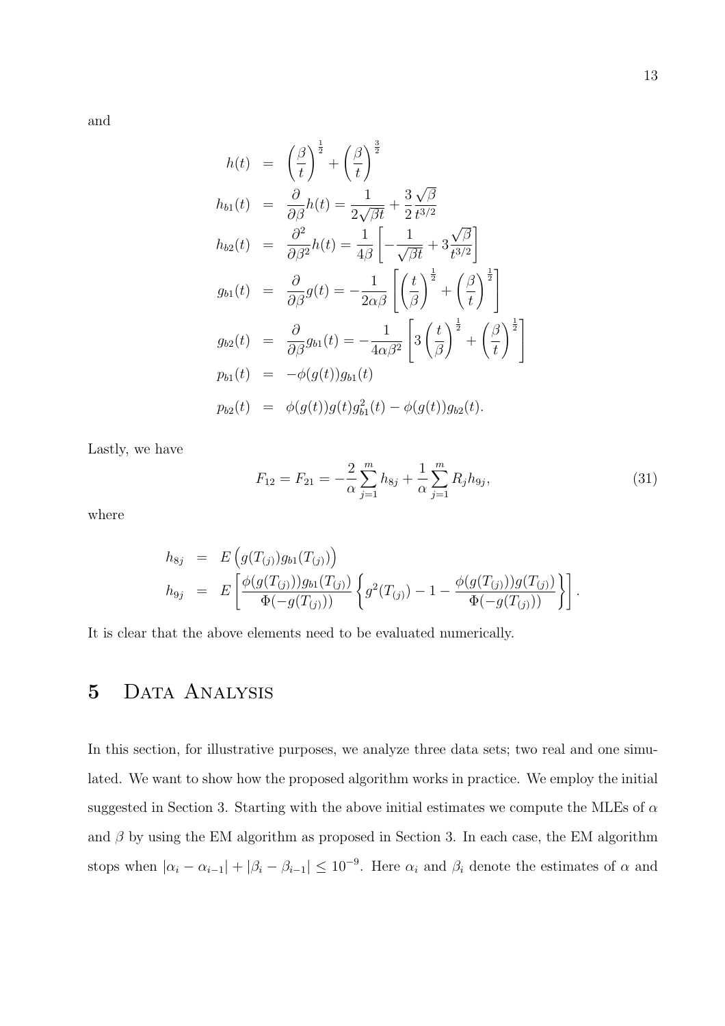and

$$
h(t) = \left(\frac{\beta}{t}\right)^{\frac{1}{2}} + \left(\frac{\beta}{t}\right)^{\frac{3}{2}}
$$
  
\n
$$
h_{b1}(t) = \frac{\partial}{\partial \beta}h(t) = \frac{1}{2\sqrt{\beta t}} + \frac{3\sqrt{\beta}}{2t^{3/2}}
$$
  
\n
$$
h_{b2}(t) = \frac{\partial^2}{\partial \beta^2}h(t) = \frac{1}{4\beta} \left[ -\frac{1}{\sqrt{\beta t}} + 3\frac{\sqrt{\beta}}{t^{3/2}} \right]
$$
  
\n
$$
g_{b1}(t) = \frac{\partial}{\partial \beta}g(t) = -\frac{1}{2\alpha\beta} \left[ \left(\frac{t}{\beta}\right)^{\frac{1}{2}} + \left(\frac{\beta}{t}\right)^{\frac{1}{2}} \right]
$$
  
\n
$$
g_{b2}(t) = \frac{\partial}{\partial \beta}g_{b1}(t) = -\frac{1}{4\alpha\beta^2} \left[ 3\left(\frac{t}{\beta}\right)^{\frac{1}{2}} + \left(\frac{\beta}{t}\right)^{\frac{1}{2}} \right]
$$
  
\n
$$
p_{b1}(t) = -\phi(g(t))g_{b1}(t)
$$
  
\n
$$
p_{b2}(t) = \phi(g(t))g(t)g_{b1}^2(t) - \phi(g(t))g_{b2}(t).
$$

Lastly, we have

$$
F_{12} = F_{21} = -\frac{2}{\alpha} \sum_{j=1}^{m} h_{8j} + \frac{1}{\alpha} \sum_{j=1}^{m} R_j h_{9j},\tag{31}
$$

where

$$
h_{8j} = E\left(g(T_{(j)})g_{b1}(T_{(j)})\right)
$$
  
\n
$$
h_{9j} = E\left[\frac{\phi(g(T_{(j)}))g_{b1}(T_{(j)})}{\Phi(-g(T_{(j)}))}\left\{g^2(T_{(j)}) - 1 - \frac{\phi(g(T_{(j)}))g(T_{(j)})}{\Phi(-g(T_{(j)}))}\right\}\right].
$$

It is clear that the above elements need to be evaluated numerically.

# 5 DATA ANALYSIS

In this section, for illustrative purposes, we analyze three data sets; two real and one simulated. We want to show how the proposed algorithm works in practice. We employ the initial suggested in Section 3. Starting with the above initial estimates we compute the MLEs of  $\alpha$ and  $\beta$  by using the EM algorithm as proposed in Section 3. In each case, the EM algorithm stops when  $|\alpha_i - \alpha_{i-1}| + |\beta_i - \beta_{i-1}| \leq 10^{-9}$ . Here  $\alpha_i$  and  $\beta_i$  denote the estimates of  $\alpha$  and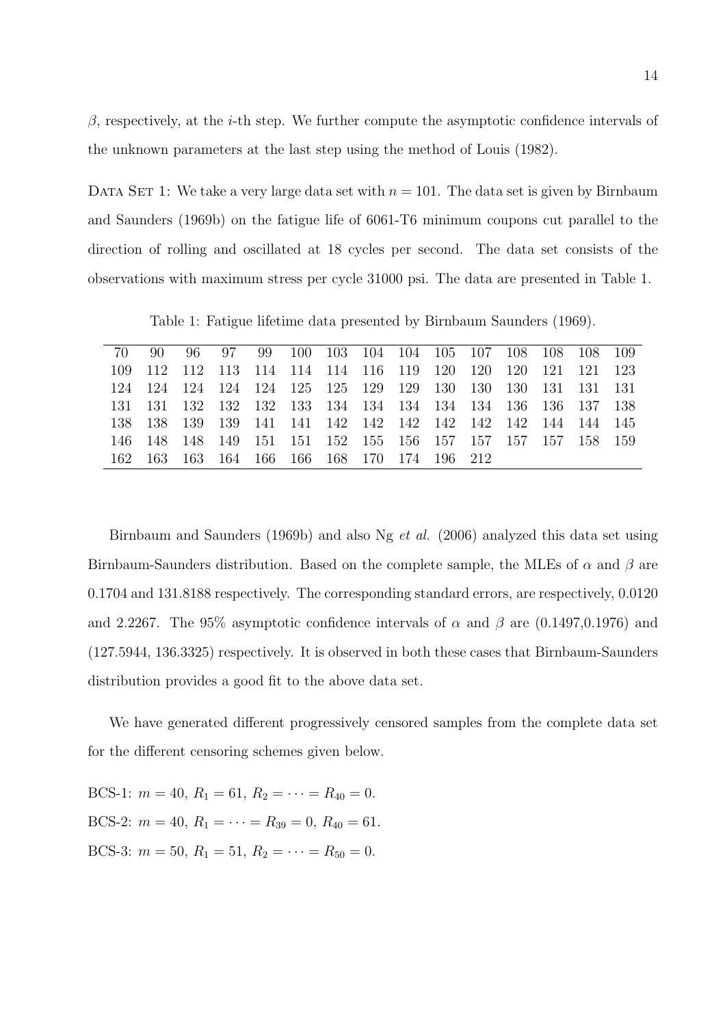$\beta$ , respectively, at the *i*-th step. We further compute the asymptotic confidence intervals of the unknown parameters at the last step using the method of Louis (1982).

DATA SET 1: We take a very large data set with  $n = 101$ . The data set is given by Birnbaum and Saunders (1969b) on the fatigue life of 6061-T6 minimum coupons cut parallel to the direction of rolling and oscillated at 18 cycles per second. The data set consists of the observations with maximum stress per cycle 31000 psi. The data are presented in Table 1.

Table 1: Fatigue lifetime data presented by Birnbaum Saunders (1969).

| 70 90 |                                             |  |  |  |  | 96 97 99 100 103 104 104 105 107 108 108 108 109            |  |
|-------|---------------------------------------------|--|--|--|--|-------------------------------------------------------------|--|
|       |                                             |  |  |  |  | 109 112 112 113 114 114 114 116 119 120 120 120 121 121 123 |  |
|       |                                             |  |  |  |  | 124 124 124 124 125 125 129 129 130 130 130 131 131 131     |  |
|       |                                             |  |  |  |  | 131 131 132 132 132 133 134 134 134 134 134 136 136 137 138 |  |
|       |                                             |  |  |  |  |                                                             |  |
|       |                                             |  |  |  |  | 146 148 148 149 151 151 152 155 156 157 157 157 157 158 159 |  |
|       | 162 163 163 164 166 166 168 170 174 196 212 |  |  |  |  |                                                             |  |
|       |                                             |  |  |  |  |                                                             |  |

Birnbaum and Saunders (1969b) and also Ng et al. (2006) analyzed this data set using Birnbaum-Saunders distribution. Based on the complete sample, the MLEs of  $\alpha$  and  $\beta$  are 0.1704 and 131.8188 respectively. The corresponding standard errors, are respectively, 0.0120 and 2.2267. The 95% asymptotic confidence intervals of  $\alpha$  and  $\beta$  are (0.1497,0.1976) and (127.5944, 136.3325) respectively. It is observed in both these cases that Birnbaum-Saunders distribution provides a good fit to the above data set.

We have generated different progressively censored samples from the complete data set for the different censoring schemes given below.

BCS-1:  $m = 40$ ,  $R_1 = 61$ ,  $R_2 = \cdots = R_{40} = 0$ . BCS-2:  $m = 40$ ,  $R_1 = \cdots = R_{39} = 0$ ,  $R_{40} = 61$ . BCS-3:  $m = 50$ ,  $R_1 = 51$ ,  $R_2 = \cdots = R_{50} = 0$ .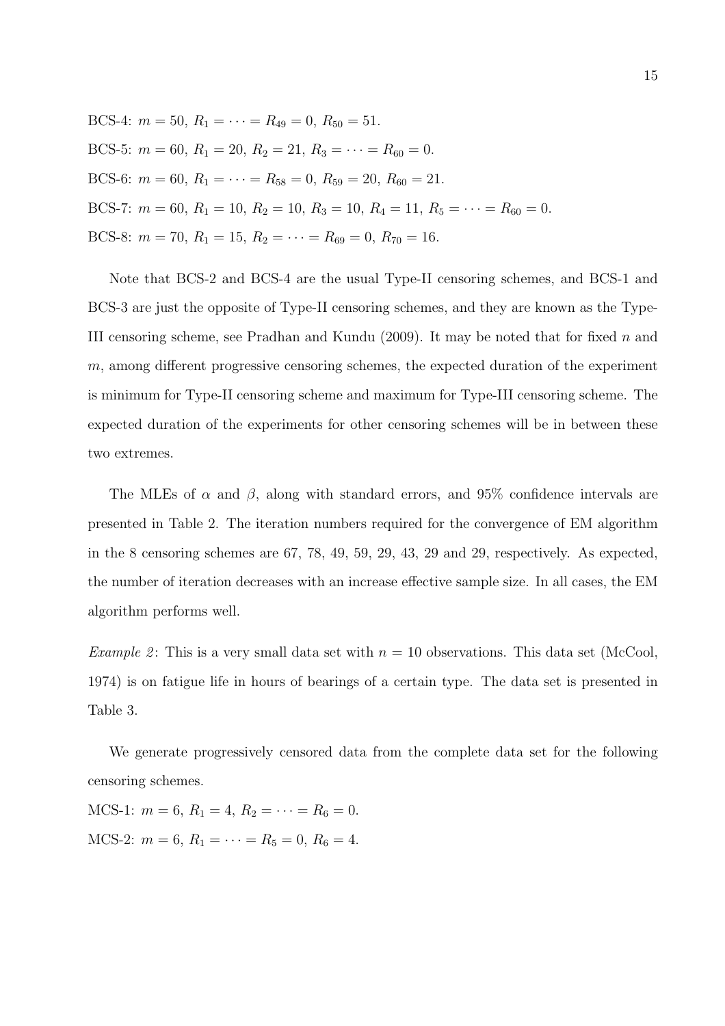BCS-4:  $m = 50$ ,  $R_1 = \cdots = R_{49} = 0$ ,  $R_{50} = 51$ . BCS-5:  $m = 60$ ,  $R_1 = 20$ ,  $R_2 = 21$ ,  $R_3 = \cdots = R_{60} = 0$ . BCS-6:  $m = 60$ ,  $R_1 = \cdots = R_{58} = 0$ ,  $R_{59} = 20$ ,  $R_{60} = 21$ . BCS-7:  $m = 60$ ,  $R_1 = 10$ ,  $R_2 = 10$ ,  $R_3 = 10$ ,  $R_4 = 11$ ,  $R_5 = \cdots = R_{60} = 0$ . BCS-8:  $m = 70$ ,  $R_1 = 15$ ,  $R_2 = \cdots = R_{69} = 0$ ,  $R_{70} = 16$ .

Note that BCS-2 and BCS-4 are the usual Type-II censoring schemes, and BCS-1 and BCS-3 are just the opposite of Type-II censoring schemes, and they are known as the Type-III censoring scheme, see Pradhan and Kundu  $(2009)$ . It may be noted that for fixed n and  $m$ , among different progressive censoring schemes, the expected duration of the experiment is minimum for Type-II censoring scheme and maximum for Type-III censoring scheme. The expected duration of the experiments for other censoring schemes will be in between these two extremes.

The MLEs of  $\alpha$  and  $\beta$ , along with standard errors, and 95% confidence intervals are presented in Table 2. The iteration numbers required for the convergence of EM algorithm in the 8 censoring schemes are 67, 78, 49, 59, 29, 43, 29 and 29, respectively. As expected, the number of iteration decreases with an increase effective sample size. In all cases, the EM algorithm performs well.

*Example 2*: This is a very small data set with  $n = 10$  observations. This data set (McCool, 1974) is on fatigue life in hours of bearings of a certain type. The data set is presented in Table 3.

We generate progressively censored data from the complete data set for the following censoring schemes.

MCS-1:  $m = 6$ ,  $R_1 = 4$ ,  $R_2 = \cdots = R_6 = 0$ . MCS-2:  $m = 6$ ,  $R_1 = \cdots = R_5 = 0$ ,  $R_6 = 4$ .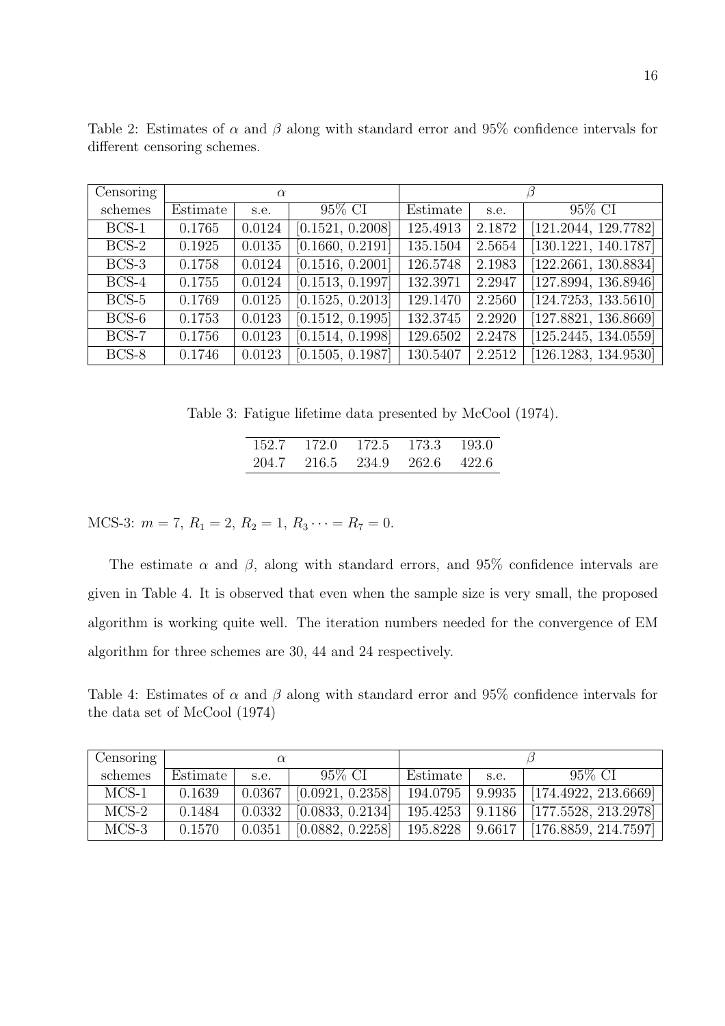| Censoring |          | $\alpha$ |                  |          |        |                      |  |
|-----------|----------|----------|------------------|----------|--------|----------------------|--|
| schemes   | Estimate | s.e.     | 95% CI           | Estimate | s.e.   | 95% CI               |  |
| $BCS-1$   | 0.1765   | 0.0124   | [0.1521, 0.2008] | 125.4913 | 2.1872 | [121.2044, 129.7782] |  |
| $BCS-2$   | 0.1925   | 0.0135   | [0.1660, 0.2191] | 135.1504 | 2.5654 | [130.1221, 140.1787] |  |
| $BCS-3$   | 0.1758   | 0.0124   | [0.1516, 0.2001] | 126.5748 | 2.1983 | [122.2661, 130.8834] |  |
| $BCS-4$   | 0.1755   | 0.0124   | [0.1513, 0.1997] | 132.3971 | 2.2947 | [127.8994, 136.8946] |  |
| $BCS-5$   | 0.1769   | 0.0125   | [0.1525, 0.2013] | 129.1470 | 2.2560 | [124.7253, 133.5610] |  |
| $BCS-6$   | 0.1753   | 0.0123   | [0.1512, 0.1995] | 132.3745 | 2.2920 | [127.8821, 136.8669] |  |
| $BCS-7$   | 0.1756   | 0.0123   | [0.1514, 0.1998] | 129.6502 | 2.2478 | [125.2445, 134.0559] |  |
| $BCS-8$   | 0.1746   | 0.0123   | [0.1505, 0.1987] | 130.5407 | 2.2512 | [126.1283, 134.9530] |  |

Table 2: Estimates of  $\alpha$  and  $\beta$  along with standard error and 95% confidence intervals for different censoring schemes.

Table 3: Fatigue lifetime data presented by McCool (1974).

| 152.7 | 172.0  | 172.5 | -173.3 | -193.0 |
|-------|--------|-------|--------|--------|
| 204.7 | -216.5 | 234.9 | 262.6  | 422.6  |

MCS-3:  $m = 7, R_1 = 2, R_2 = 1, R_3 \cdots = R_7 = 0.$ 

The estimate  $\alpha$  and  $\beta$ , along with standard errors, and 95% confidence intervals are given in Table 4. It is observed that even when the sample size is very small, the proposed algorithm is working quite well. The iteration numbers needed for the convergence of EM algorithm for three schemes are 30, 44 and 24 respectively.

Table 4: Estimates of  $\alpha$  and  $\beta$  along with standard error and 95% confidence intervals for the data set of McCool (1974)

| Censoring |          |        |                  |          |        |                      |  |
|-----------|----------|--------|------------------|----------|--------|----------------------|--|
| schemes   | Estimate | s.e.   | 95\% CI          | Estimate | s.e.   | $95\%$ CI            |  |
| $MCS-1$   | 0.1639   | 0.0367 | [0.0921, 0.2358] | 194.0795 | 9.9935 | [174.4922, 213.6669] |  |
| $MCS-2$   | 0.1484   | 0.0332 | [0.0833, 0.2134] | 195.4253 | 9.1186 | [177.5528, 213.2978] |  |
| $MCS-3$   | 0.1570   | 0.0351 | [0.0882, 0.2258] | 195.8228 | 9.6617 | [176.8859, 214.7597] |  |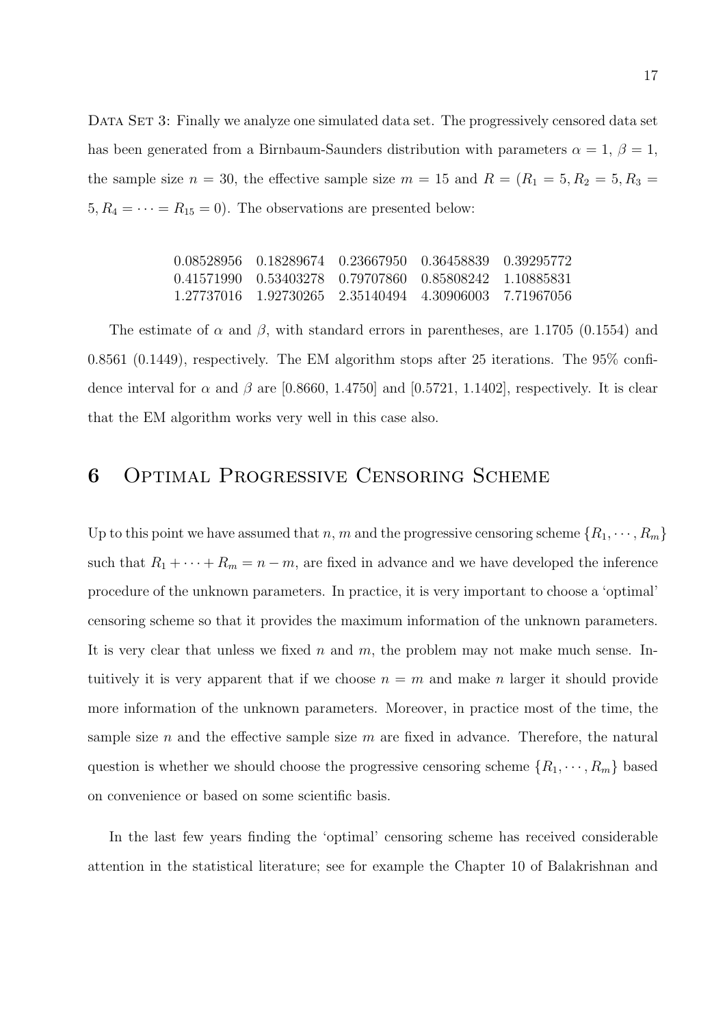DATA SET 3: Finally we analyze one simulated data set. The progressively censored data set has been generated from a Birnbaum-Saunders distribution with parameters  $\alpha = 1, \beta = 1$ , the sample size  $n = 30$ , the effective sample size  $m = 15$  and  $R = (R_1 = 5, R_2 = 5, R_3 = 5)$  $5, R_4 = \cdots = R_{15} = 0$ . The observations are presented below:

| $0.08528956$ $0.18289674$ $0.23667950$ $0.36458839$ $0.39295772$ |  |  |
|------------------------------------------------------------------|--|--|
| 0.41571990   0.53403278   0.79707860   0.85808242   1.10885831   |  |  |
|                                                                  |  |  |

The estimate of  $\alpha$  and  $\beta$ , with standard errors in parentheses, are 1.1705 (0.1554) and 0.8561 (0.1449), respectively. The EM algorithm stops after 25 iterations. The 95% confidence interval for  $\alpha$  and  $\beta$  are [0.8660, 1.4750] and [0.5721, 1.1402], respectively. It is clear that the EM algorithm works very well in this case also.

# 6 Optimal Progressive Censoring Scheme

Up to this point we have assumed that n, m and the progressive censoring scheme  $\{R_1, \dots, R_m\}$ such that  $R_1 + \cdots + R_m = n - m$ , are fixed in advance and we have developed the inference procedure of the unknown parameters. In practice, it is very important to choose a 'optimal' censoring scheme so that it provides the maximum information of the unknown parameters. It is very clear that unless we fixed n and m, the problem may not make much sense. Intuitively it is very apparent that if we choose  $n = m$  and make n larger it should provide more information of the unknown parameters. Moreover, in practice most of the time, the sample size n and the effective sample size m are fixed in advance. Therefore, the natural question is whether we should choose the progressive censoring scheme  $\{R_1, \dots, R_m\}$  based on convenience or based on some scientific basis.

In the last few years finding the 'optimal' censoring scheme has received considerable attention in the statistical literature; see for example the Chapter 10 of Balakrishnan and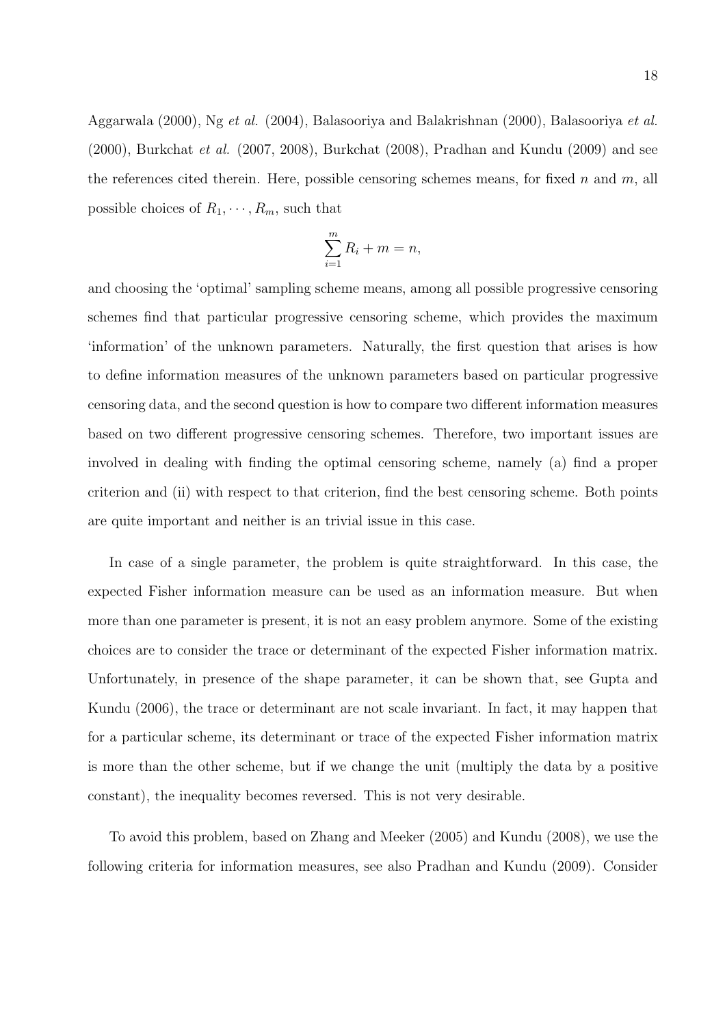Aggarwala (2000), Ng et al. (2004), Balasooriya and Balakrishnan (2000), Balasooriya et al. (2000), Burkchat et al. (2007, 2008), Burkchat (2008), Pradhan and Kundu (2009) and see the references cited therein. Here, possible censoring schemes means, for fixed n and  $m$ , all possible choices of  $R_1, \dots, R_m$ , such that

$$
\sum_{i=1}^{m} R_i + m = n,
$$

and choosing the 'optimal' sampling scheme means, among all possible progressive censoring schemes find that particular progressive censoring scheme, which provides the maximum 'information' of the unknown parameters. Naturally, the first question that arises is how to define information measures of the unknown parameters based on particular progressive censoring data, and the second question is how to compare two different information measures based on two different progressive censoring schemes. Therefore, two important issues are involved in dealing with finding the optimal censoring scheme, namely (a) find a proper criterion and (ii) with respect to that criterion, find the best censoring scheme. Both points are quite important and neither is an trivial issue in this case.

In case of a single parameter, the problem is quite straightforward. In this case, the expected Fisher information measure can be used as an information measure. But when more than one parameter is present, it is not an easy problem anymore. Some of the existing choices are to consider the trace or determinant of the expected Fisher information matrix. Unfortunately, in presence of the shape parameter, it can be shown that, see Gupta and Kundu (2006), the trace or determinant are not scale invariant. In fact, it may happen that for a particular scheme, its determinant or trace of the expected Fisher information matrix is more than the other scheme, but if we change the unit (multiply the data by a positive constant), the inequality becomes reversed. This is not very desirable.

To avoid this problem, based on Zhang and Meeker (2005) and Kundu (2008), we use the following criteria for information measures, see also Pradhan and Kundu (2009). Consider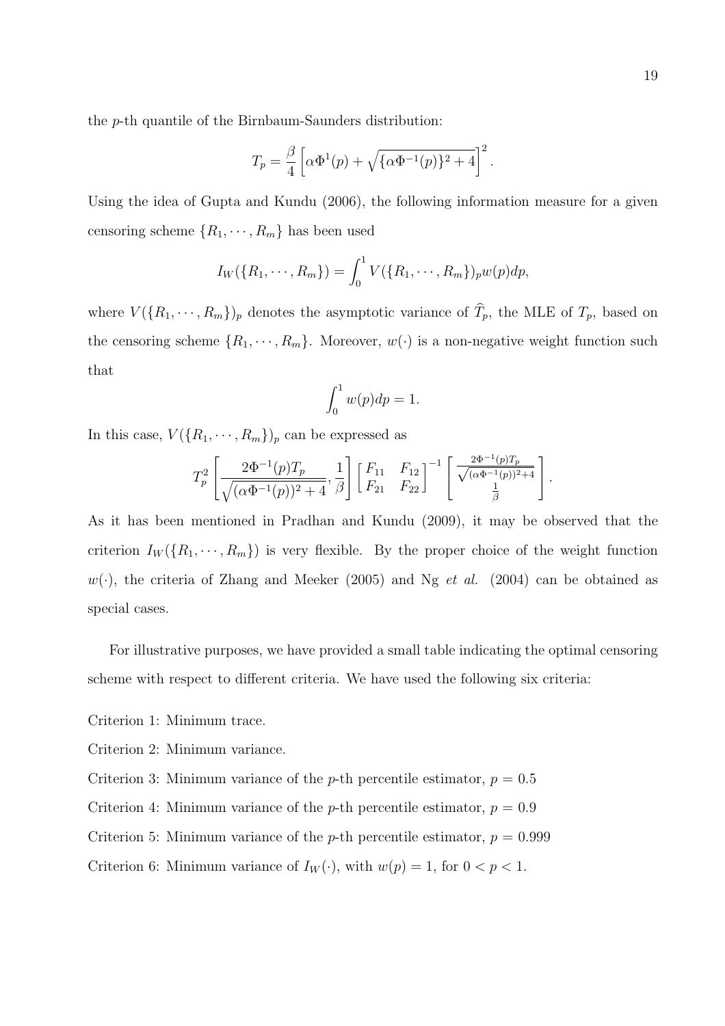the p-th quantile of the Birnbaum-Saunders distribution:

$$
T_p = \frac{\beta}{4} \left[ \alpha \Phi^1(p) + \sqrt{\{\alpha \Phi^{-1}(p)\}^2 + 4} \right]^2.
$$

Using the idea of Gupta and Kundu (2006), the following information measure for a given censoring scheme  $\{R_1, \dots, R_m\}$  has been used

$$
I_W(\{R_1, \cdots, R_m\}) = \int_0^1 V(\{R_1, \cdots, R_m\})_p w(p) dp,
$$

where  $V(\lbrace R_1,\dots,R_m\rbrace)_p$  denotes the asymptotic variance of  $\hat{T}_p$ , the MLE of  $T_p$ , based on the censoring scheme  $\{R_1, \dots, R_m\}$ . Moreover,  $w(\cdot)$  is a non-negative weight function such that

$$
\int_0^1 w(p) dp = 1.
$$

In this case,  $V({R_1, \dots, R_m})_p$  can be expressed as

$$
T_p^2 \left[ \frac{2\Phi^{-1}(p)T_p}{\sqrt{(\alpha\Phi^{-1}(p))^2 + 4}}, \frac{1}{\beta} \right] \left[ \begin{array}{cc} F_{11} & F_{12} \\ F_{21} & F_{22} \end{array} \right]^{-1} \left[ \begin{array}{c} \frac{2\Phi^{-1}(p)T_p}{\sqrt{(\alpha\Phi^{-1}(p))^2 + 4}} \\ \frac{1}{\beta} \end{array} \right].
$$

As it has been mentioned in Pradhan and Kundu (2009), it may be observed that the criterion  $I_W(\lbrace R_1, \cdots, R_m \rbrace)$  is very flexible. By the proper choice of the weight function  $w(\cdot)$ , the criteria of Zhang and Meeker (2005) and Ng *et al.* (2004) can be obtained as special cases.

For illustrative purposes, we have provided a small table indicating the optimal censoring scheme with respect to different criteria. We have used the following six criteria:

Criterion 1: Minimum trace.

Criterion 2: Minimum variance.

- Criterion 3: Minimum variance of the p-th percentile estimator,  $p = 0.5$
- Criterion 4: Minimum variance of the p-th percentile estimator,  $p = 0.9$
- Criterion 5: Minimum variance of the p-th percentile estimator,  $p = 0.999$
- Criterion 6: Minimum variance of  $I_W(\cdot)$ , with  $w(p) = 1$ , for  $0 < p < 1$ .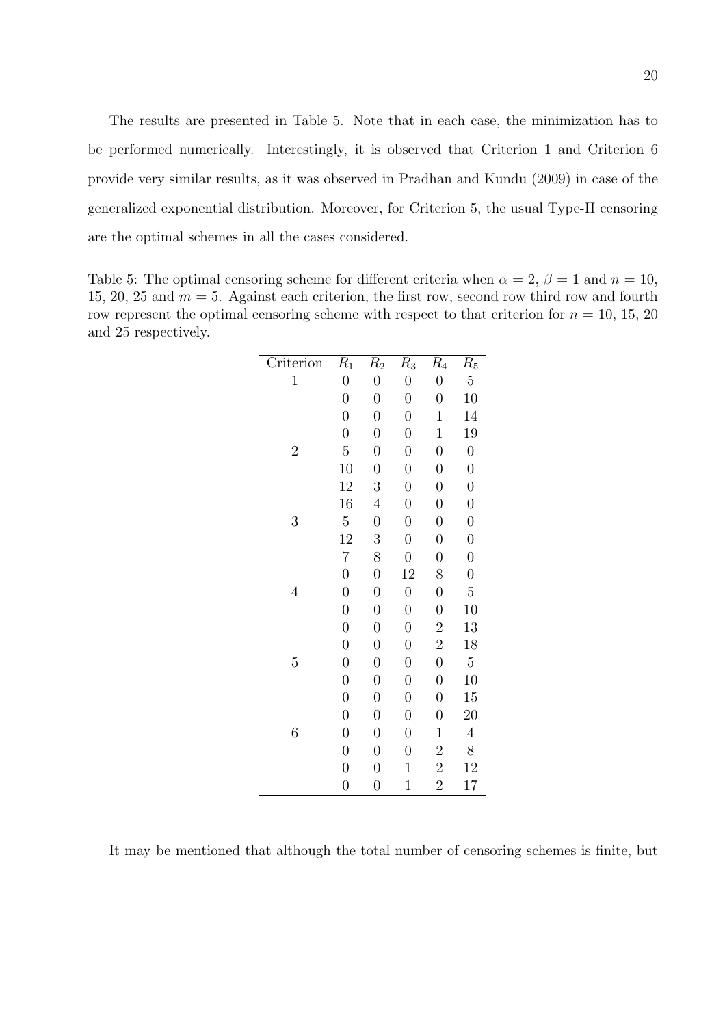The results are presented in Table 5. Note that in each case, the minimization has to be performed numerically. Interestingly, it is observed that Criterion 1 and Criterion 6 provide very similar results, as it was observed in Pradhan and Kundu (2009) in case of the generalized exponential distribution. Moreover, for Criterion 5, the usual Type-II censoring are the optimal schemes in all the cases considered.

Table 5: The optimal censoring scheme for different criteria when  $\alpha = 2$ ,  $\beta = 1$  and  $n = 10$ , 15, 20, 25 and  $m = 5$ . Against each criterion, the first row, second row third row and fourth row represent the optimal censoring scheme with respect to that criterion for  $n = 10, 15, 20$ and 25 respectively.

| Criterion      | $R_1$            | $R_2$            | $R_3$            | $R_4$            | $R_5$            |
|----------------|------------------|------------------|------------------|------------------|------------------|
| $\mathbf{1}$   | $\boldsymbol{0}$ | $\boldsymbol{0}$ | $\overline{0}$   | $\overline{0}$   | $\overline{5}$   |
|                | $\overline{0}$   | $\boldsymbol{0}$ | $\boldsymbol{0}$ | $\overline{0}$   | 10               |
|                | $\overline{0}$   | $\boldsymbol{0}$ | $\overline{0}$   | $\mathbf{1}$     | 14               |
|                | $\overline{0}$   | $\boldsymbol{0}$ | $\boldsymbol{0}$ | $\mathbf{1}$     | 19               |
| $\overline{2}$ | $\overline{5}$   | $\overline{0}$   | $\overline{0}$   | $\overline{0}$   | $\overline{0}$   |
|                | 10               | $\overline{0}$   | $\boldsymbol{0}$ | $\overline{0}$   | $\boldsymbol{0}$ |
|                | 12               | 3                | $\overline{0}$   | $\overline{0}$   | $\overline{0}$   |
|                | 16               | $\overline{4}$   | $\boldsymbol{0}$ | $\overline{0}$   | $\boldsymbol{0}$ |
| 3              | $\overline{5}$   | $\overline{0}$   | $\overline{0}$   | $\overline{0}$   | $\overline{0}$   |
|                | 12               | 3                | $\overline{0}$   | $\overline{0}$   | $\overline{0}$   |
|                | $\overline{7}$   | 8                | $\boldsymbol{0}$ | $\overline{0}$   | $\boldsymbol{0}$ |
|                | $\boldsymbol{0}$ | $\boldsymbol{0}$ | 12               | 8                | $\overline{0}$   |
| $\overline{4}$ | $\overline{0}$   | $\boldsymbol{0}$ | $\boldsymbol{0}$ | $\overline{0}$   | $\overline{5}$   |
|                | $\boldsymbol{0}$ | $\boldsymbol{0}$ | $\boldsymbol{0}$ | $\overline{0}$   | 10               |
|                | $\overline{0}$   | $\boldsymbol{0}$ | $\overline{0}$   | $\overline{2}$   | 13               |
|                | $\boldsymbol{0}$ | $\boldsymbol{0}$ | $\boldsymbol{0}$ | $\overline{2}$   | 18               |
| $\overline{5}$ | $\boldsymbol{0}$ | $\boldsymbol{0}$ | $\overline{0}$   | $\overline{0}$   | $\overline{5}$   |
|                | $\overline{0}$   | $\boldsymbol{0}$ | $\boldsymbol{0}$ | $\overline{0}$   | 10               |
|                | $\boldsymbol{0}$ | $\boldsymbol{0}$ | $\boldsymbol{0}$ | $\boldsymbol{0}$ | 15               |
|                | $\boldsymbol{0}$ | $\boldsymbol{0}$ | $\boldsymbol{0}$ | $\overline{0}$   | 20               |
| 6              | $\boldsymbol{0}$ | $\boldsymbol{0}$ | $\boldsymbol{0}$ | $\mathbf{1}$     | $\overline{4}$   |
|                | $\boldsymbol{0}$ | $\boldsymbol{0}$ | $\boldsymbol{0}$ | $\overline{c}$   | 8                |
|                | $\overline{0}$   | $\boldsymbol{0}$ | $\mathbf{1}$     | $\overline{2}$   | 12               |
|                | $\overline{0}$   | $\boldsymbol{0}$ | $\mathbf 1$      | $\overline{2}$   | 17               |

It may be mentioned that although the total number of censoring schemes is finite, but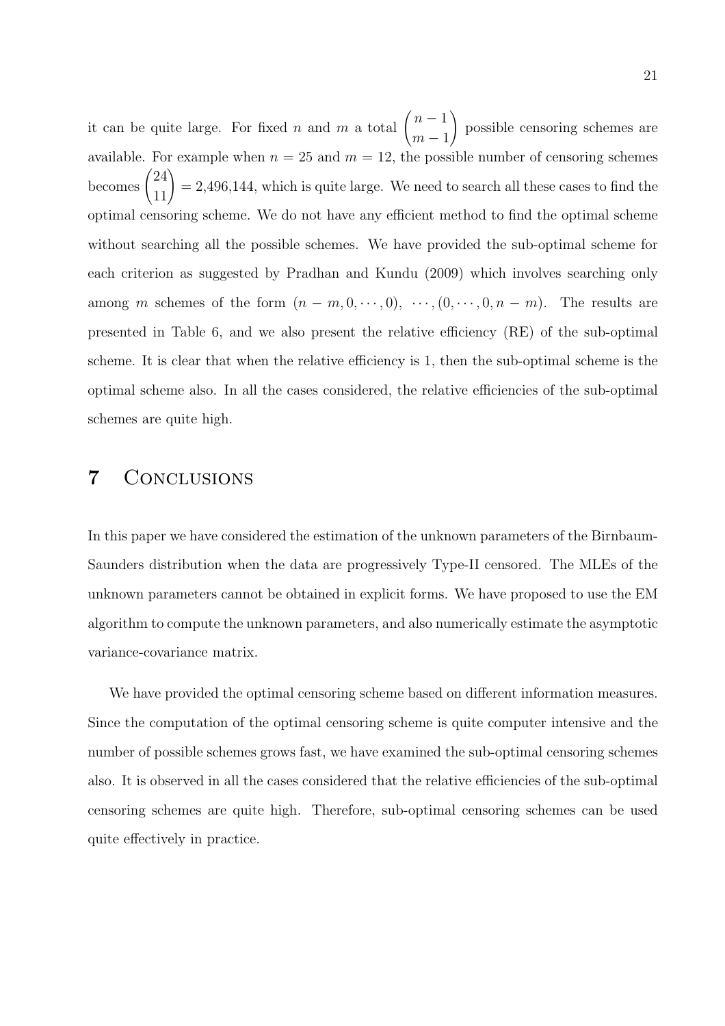it can be quite large. For fixed *n* and *m* a total  $\binom{n-1}{1}$  $m-1$ ! possible censoring schemes are available. For example when  $n = 25$  and  $m = 12$ , the possible number of censoring schemes becomes  $\binom{24}{11}$  $= 2,496,144$ , which is quite large. We need to search all these cases to find the optimal censoring scheme. We do not have any efficient method to find the optimal scheme without searching all the possible schemes. We have provided the sub-optimal scheme for each criterion as suggested by Pradhan and Kundu (2009) which involves searching only among m schemes of the form  $(n - m, 0, \dots, 0), \dots, (0, \dots, 0, n - m)$ . The results are presented in Table 6, and we also present the relative efficiency (RE) of the sub-optimal scheme. It is clear that when the relative efficiency is 1, then the sub-optimal scheme is the optimal scheme also. In all the cases considered, the relative efficiencies of the sub-optimal schemes are quite high.

## 7 Conclusions

In this paper we have considered the estimation of the unknown parameters of the Birnbaum-Saunders distribution when the data are progressively Type-II censored. The MLEs of the unknown parameters cannot be obtained in explicit forms. We have proposed to use the EM algorithm to compute the unknown parameters, and also numerically estimate the asymptotic variance-covariance matrix.

We have provided the optimal censoring scheme based on different information measures. Since the computation of the optimal censoring scheme is quite computer intensive and the number of possible schemes grows fast, we have examined the sub-optimal censoring schemes also. It is observed in all the cases considered that the relative efficiencies of the sub-optimal censoring schemes are quite high. Therefore, sub-optimal censoring schemes can be used quite effectively in practice.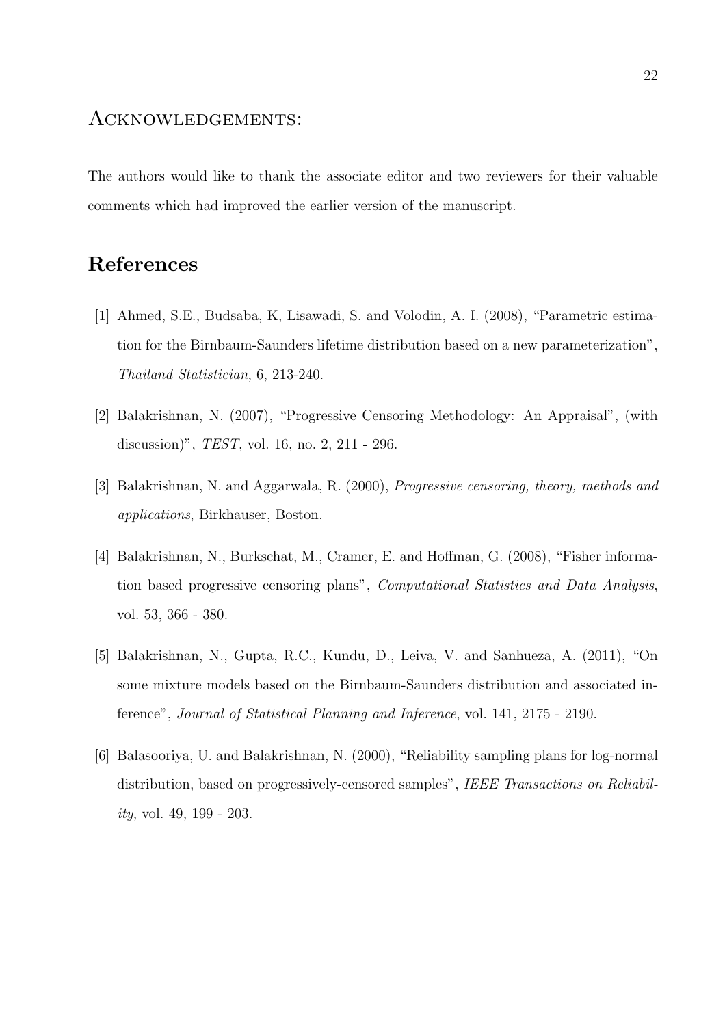# Acknowledgements:

The authors would like to thank the associate editor and two reviewers for their valuable comments which had improved the earlier version of the manuscript.

# References

- [1] Ahmed, S.E., Budsaba, K, Lisawadi, S. and Volodin, A. I. (2008), "Parametric estimation for the Birnbaum-Saunders lifetime distribution based on a new parameterization", Thailand Statistician, 6, 213-240.
- [2] Balakrishnan, N. (2007), "Progressive Censoring Methodology: An Appraisal", (with discussion)", TEST, vol. 16, no. 2, 211 - 296.
- [3] Balakrishnan, N. and Aggarwala, R. (2000), Progressive censoring, theory, methods and applications, Birkhauser, Boston.
- [4] Balakrishnan, N., Burkschat, M., Cramer, E. and Hoffman, G. (2008), "Fisher information based progressive censoring plans", Computational Statistics and Data Analysis, vol. 53, 366 - 380.
- [5] Balakrishnan, N., Gupta, R.C., Kundu, D., Leiva, V. and Sanhueza, A. (2011), "On some mixture models based on the Birnbaum-Saunders distribution and associated inference", Journal of Statistical Planning and Inference, vol. 141, 2175 - 2190.
- [6] Balasooriya, U. and Balakrishnan, N. (2000), "Reliability sampling plans for log-normal distribution, based on progressively-censored samples", IEEE Transactions on Reliability, vol. 49, 199 - 203.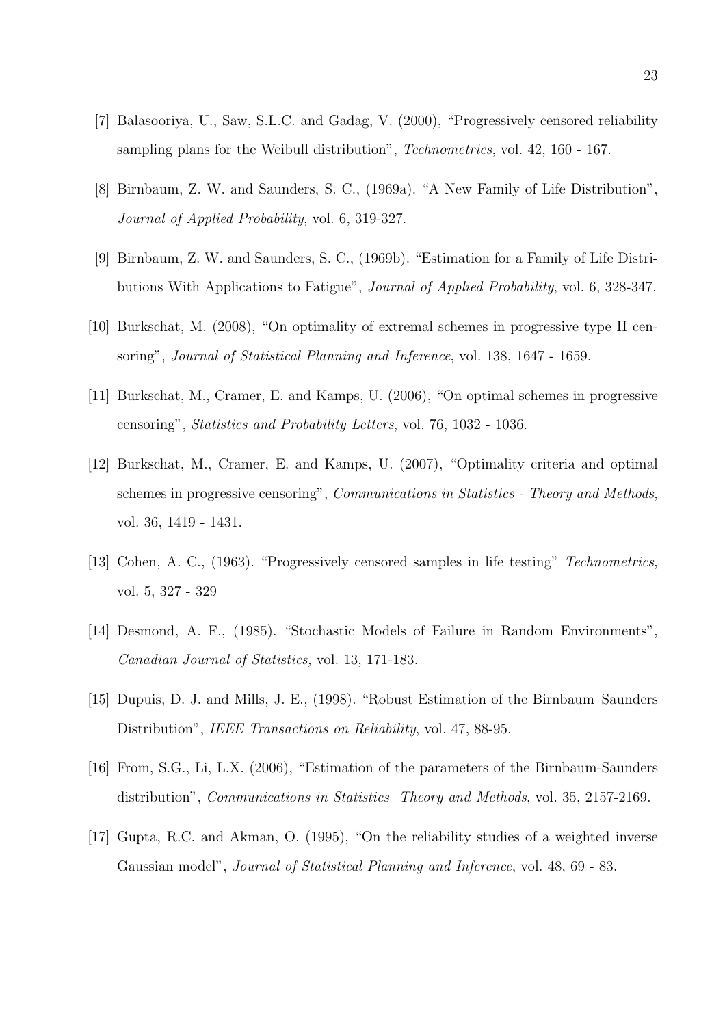- [7] Balasooriya, U., Saw, S.L.C. and Gadag, V. (2000), "Progressively censored reliability sampling plans for the Weibull distribution", Technometrics, vol. 42, 160 - 167.
- [8] Birnbaum, Z. W. and Saunders, S. C., (1969a). "A New Family of Life Distribution", Journal of Applied Probability, vol. 6, 319-327.
- [9] Birnbaum, Z. W. and Saunders, S. C., (1969b). "Estimation for a Family of Life Distributions With Applications to Fatigue", Journal of Applied Probability, vol. 6, 328-347.
- [10] Burkschat, M. (2008), "On optimality of extremal schemes in progressive type II censoring", Journal of Statistical Planning and Inference, vol. 138, 1647 - 1659.
- [11] Burkschat, M., Cramer, E. and Kamps, U. (2006), "On optimal schemes in progressive censoring", Statistics and Probability Letters, vol. 76, 1032 - 1036.
- [12] Burkschat, M., Cramer, E. and Kamps, U. (2007), "Optimality criteria and optimal schemes in progressive censoring", Communications in Statistics - Theory and Methods, vol. 36, 1419 - 1431.
- [13] Cohen, A. C., (1963). "Progressively censored samples in life testing" Technometrics, vol. 5, 327 - 329
- [14] Desmond, A. F., (1985). "Stochastic Models of Failure in Random Environments", Canadian Journal of Statistics, vol. 13, 171-183.
- [15] Dupuis, D. J. and Mills, J. E., (1998). "Robust Estimation of the Birnbaum–Saunders Distribution", IEEE Transactions on Reliability, vol. 47, 88-95.
- [16] From, S.G., Li, L.X. (2006), "Estimation of the parameters of the Birnbaum-Saunders distribution", Communications in Statistics Theory and Methods, vol. 35, 2157-2169.
- [17] Gupta, R.C. and Akman, O. (1995), "On the reliability studies of a weighted inverse Gaussian model", Journal of Statistical Planning and Inference, vol. 48, 69 - 83.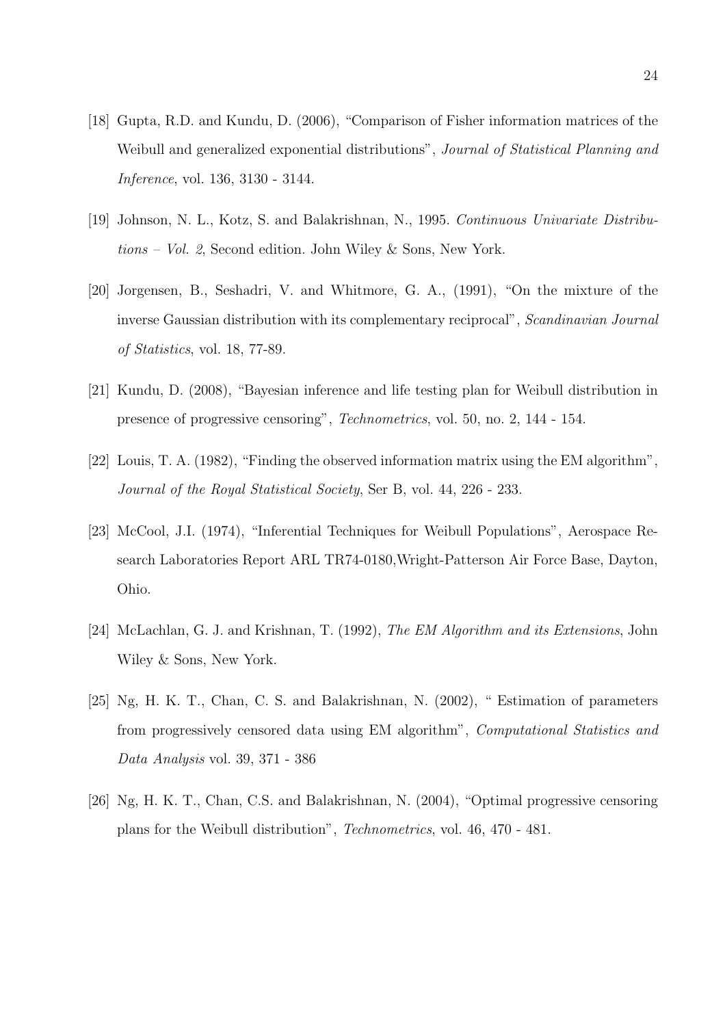- [18] Gupta, R.D. and Kundu, D. (2006), "Comparison of Fisher information matrices of the Weibull and generalized exponential distributions", Journal of Statistical Planning and Inference, vol. 136, 3130 - 3144.
- [19] Johnson, N. L., Kotz, S. and Balakrishnan, N., 1995. Continuous Univariate Distributions – Vol. 2, Second edition. John Wiley & Sons, New York.
- [20] Jorgensen, B., Seshadri, V. and Whitmore, G. A., (1991), "On the mixture of the inverse Gaussian distribution with its complementary reciprocal", Scandinavian Journal of Statistics, vol. 18, 77-89.
- [21] Kundu, D. (2008), "Bayesian inference and life testing plan for Weibull distribution in presence of progressive censoring", Technometrics, vol. 50, no. 2, 144 - 154.
- [22] Louis, T. A. (1982), "Finding the observed information matrix using the EM algorithm", Journal of the Royal Statistical Society, Ser B, vol. 44, 226 - 233.
- [23] McCool, J.I. (1974), "Inferential Techniques for Weibull Populations", Aerospace Research Laboratories Report ARL TR74-0180,Wright-Patterson Air Force Base, Dayton, Ohio.
- [24] McLachlan, G. J. and Krishnan, T. (1992), The EM Algorithm and its Extensions, John Wiley & Sons, New York.
- [25] Ng, H. K. T., Chan, C. S. and Balakrishnan, N. (2002), " Estimation of parameters from progressively censored data using EM algorithm", Computational Statistics and Data Analysis vol. 39, 371 - 386
- [26] Ng, H. K. T., Chan, C.S. and Balakrishnan, N. (2004), "Optimal progressive censoring plans for the Weibull distribution", Technometrics, vol. 46, 470 - 481.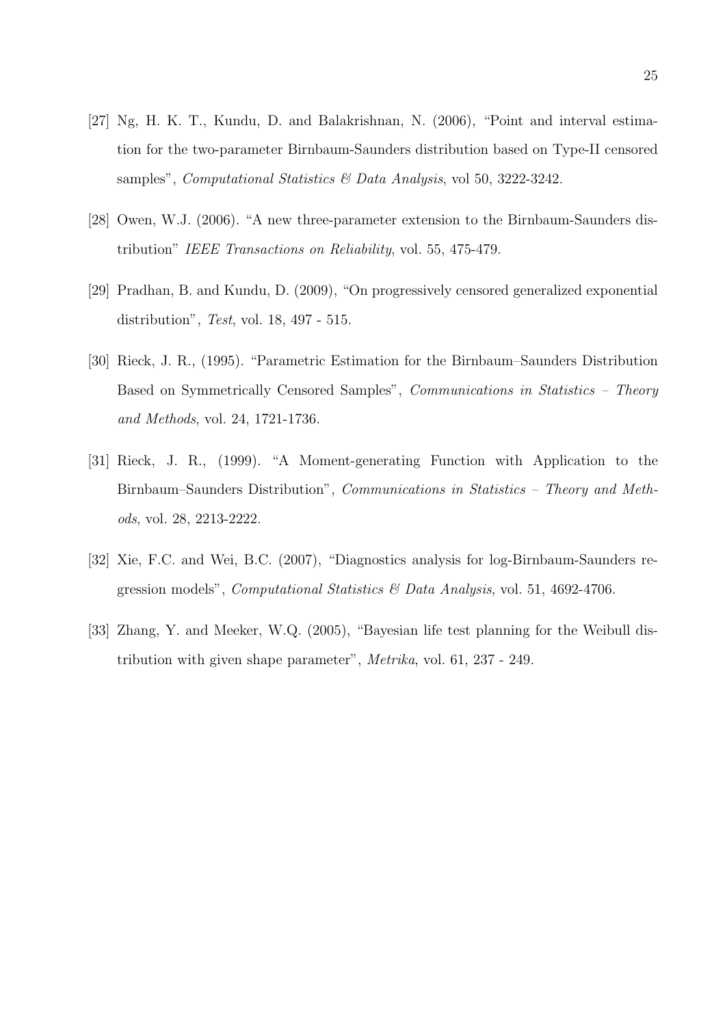- [27] Ng, H. K. T., Kundu, D. and Balakrishnan, N. (2006), "Point and interval estimation for the two-parameter Birnbaum-Saunders distribution based on Type-II censored samples", Computational Statistics & Data Analysis, vol 50, 3222-3242.
- [28] Owen, W.J. (2006). "A new three-parameter extension to the Birnbaum-Saunders distribution" IEEE Transactions on Reliability, vol. 55, 475-479.
- [29] Pradhan, B. and Kundu, D. (2009), "On progressively censored generalized exponential distribution", Test, vol. 18, 497 - 515.
- [30] Rieck, J. R., (1995). "Parametric Estimation for the Birnbaum–Saunders Distribution Based on Symmetrically Censored Samples", Communications in Statistics – Theory and Methods, vol. 24, 1721-1736.
- [31] Rieck, J. R., (1999). "A Moment-generating Function with Application to the Birnbaum–Saunders Distribution", Communications in Statistics – Theory and Methods, vol. 28, 2213-2222.
- [32] Xie, F.C. and Wei, B.C. (2007), "Diagnostics analysis for log-Birnbaum-Saunders regression models", Computational Statistics & Data Analysis, vol. 51, 4692-4706.
- [33] Zhang, Y. and Meeker, W.Q. (2005), "Bayesian life test planning for the Weibull distribution with given shape parameter", Metrika, vol. 61, 237 - 249.